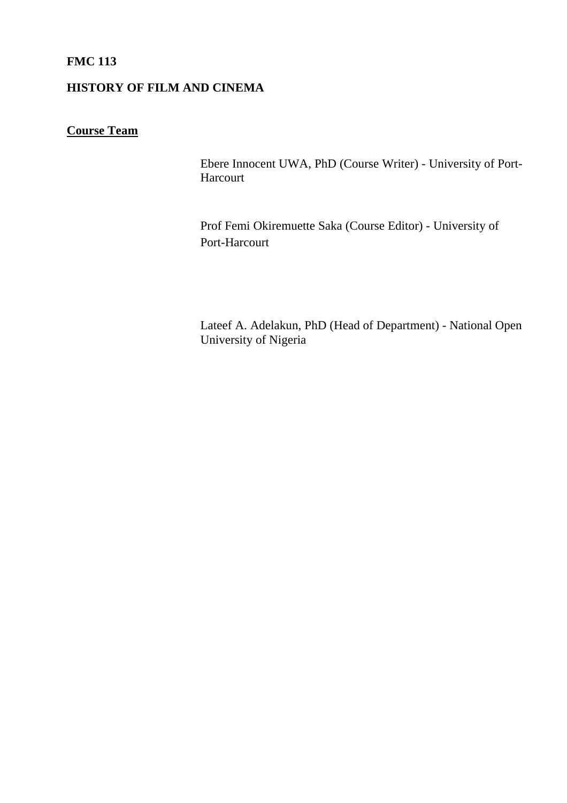# **FMC 113**

# **HISTORY OF FILM AND CINEMA**

# **Course Team**

Ebere Innocent UWA, PhD (Course Writer) - University of Port-Harcourt

Prof Femi Okiremuette Saka (Course Editor) - University of Port-Harcourt

Lateef A. Adelakun, PhD (Head of Department) - National Open University of Nigeria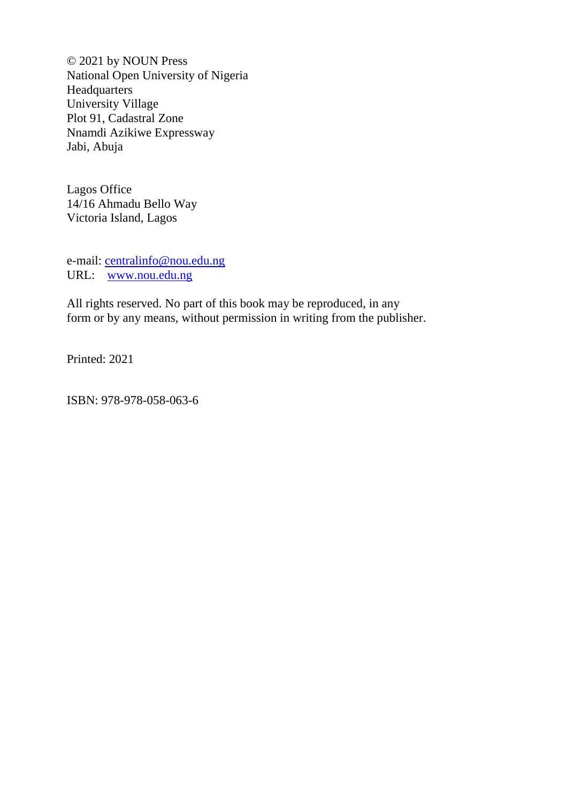© 2021 by NOUN Press National Open University of Nigeria Headquarters University Village Plot 91, Cadastral Zone Nnamdi Azikiwe Expressway Jabi, Abuja

Lagos Office 14/16 Ahmadu Bello Way Victoria Island, Lagos

e-mail: [centralinfo@nou.edu.ng](mailto:centralinfo@nou.edu.ng) URL: [www.nou.edu.ng](http://www.nou.edu.ng/)

All rights reserved. No part of this book may be reproduced, in any form or by any means, without permission in writing from the publisher.

Printed: 2021

ISBN: 978-978-058-063-6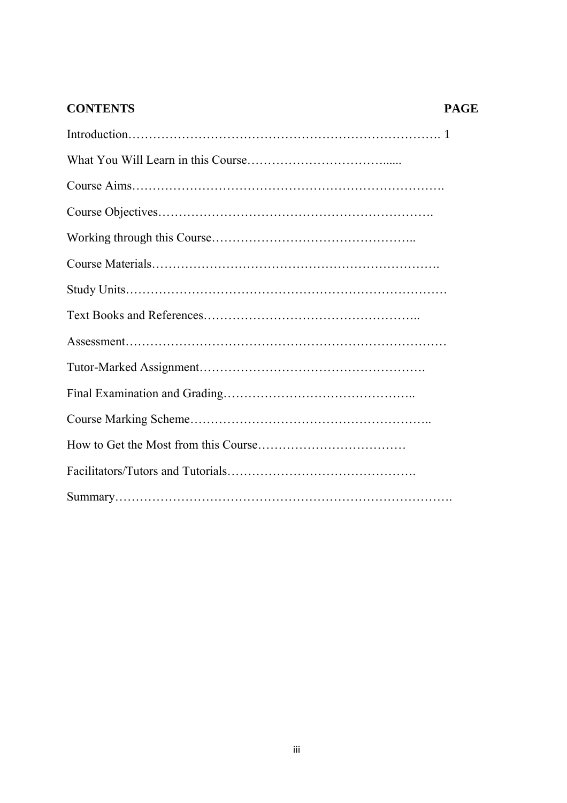# **CONTENTS PAGE**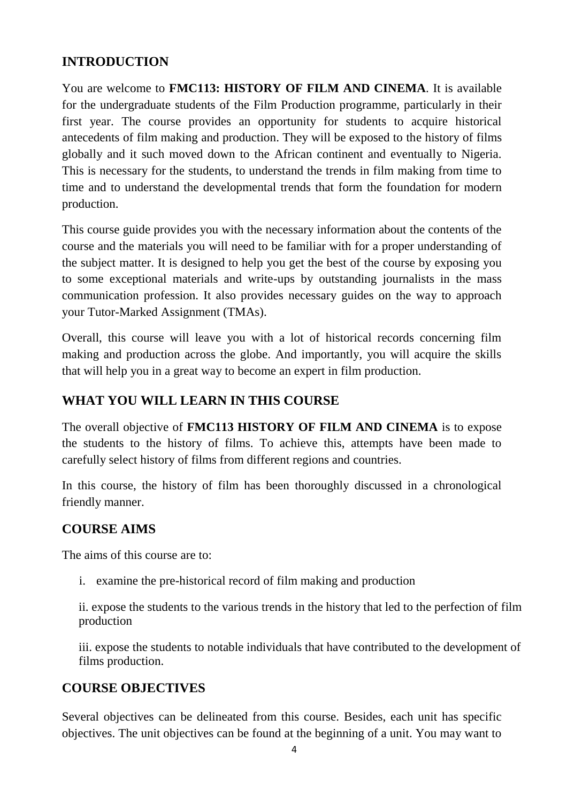# **INTRODUCTION**

You are welcome to **FMC113: HISTORY OF FILM AND CINEMA**. It is available for the undergraduate students of the Film Production programme, particularly in their first year. The course provides an opportunity for students to acquire historical antecedents of film making and production. They will be exposed to the history of films globally and it such moved down to the African continent and eventually to Nigeria. This is necessary for the students, to understand the trends in film making from time to time and to understand the developmental trends that form the foundation for modern production.

This course guide provides you with the necessary information about the contents of the course and the materials you will need to be familiar with for a proper understanding of the subject matter. It is designed to help you get the best of the course by exposing you to some exceptional materials and write-ups by outstanding journalists in the mass communication profession. It also provides necessary guides on the way to approach your Tutor-Marked Assignment (TMAs).

Overall, this course will leave you with a lot of historical records concerning film making and production across the globe. And importantly, you will acquire the skills that will help you in a great way to become an expert in film production.

# **WHAT YOU WILL LEARN IN THIS COURSE**

The overall objective of **FMC113 HISTORY OF FILM AND CINEMA** is to expose the students to the history of films. To achieve this, attempts have been made to carefully select history of films from different regions and countries.

In this course, the history of film has been thoroughly discussed in a chronological friendly manner.

# **COURSE AIMS**

The aims of this course are to:

i. examine the pre-historical record of film making and production

ii. expose the students to the various trends in the history that led to the perfection of film production

iii. expose the students to notable individuals that have contributed to the development of films production.

# **COURSE OBJECTIVES**

Several objectives can be delineated from this course. Besides, each unit has specific objectives. The unit objectives can be found at the beginning of a unit. You may want to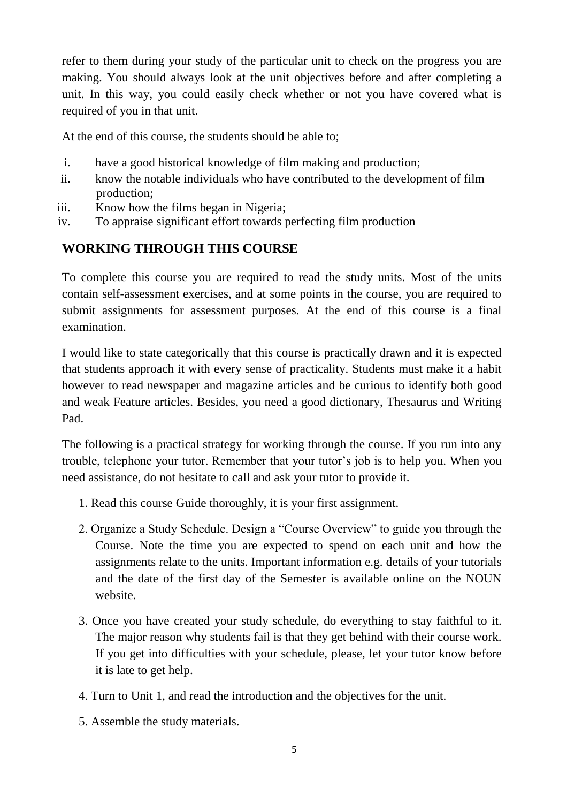refer to them during your study of the particular unit to check on the progress you are making. You should always look at the unit objectives before and after completing a unit. In this way, you could easily check whether or not you have covered what is required of you in that unit.

At the end of this course, the students should be able to;

- i. have a good historical knowledge of film making and production;
- ii. know the notable individuals who have contributed to the development of film production;
- iii. Know how the films began in Nigeria;
- iv. To appraise significant effort towards perfecting film production

# **WORKING THROUGH THIS COURSE**

To complete this course you are required to read the study units. Most of the units contain self-assessment exercises, and at some points in the course, you are required to submit assignments for assessment purposes. At the end of this course is a final examination.

I would like to state categorically that this course is practically drawn and it is expected that students approach it with every sense of practicality. Students must make it a habit however to read newspaper and magazine articles and be curious to identify both good and weak Feature articles. Besides, you need a good dictionary, Thesaurus and Writing Pad.

The following is a practical strategy for working through the course. If you run into any trouble, telephone your tutor. Remember that your tutor"s job is to help you. When you need assistance, do not hesitate to call and ask your tutor to provide it.

- 1. Read this course Guide thoroughly, it is your first assignment.
- 2. Organize a Study Schedule. Design a "Course Overview" to guide you through the Course. Note the time you are expected to spend on each unit and how the assignments relate to the units. Important information e.g. details of your tutorials and the date of the first day of the Semester is available online on the NOUN website.
- 3. Once you have created your study schedule, do everything to stay faithful to it. The major reason why students fail is that they get behind with their course work. If you get into difficulties with your schedule, please, let your tutor know before it is late to get help.
- 4. Turn to Unit 1, and read the introduction and the objectives for the unit.
- 5. Assemble the study materials.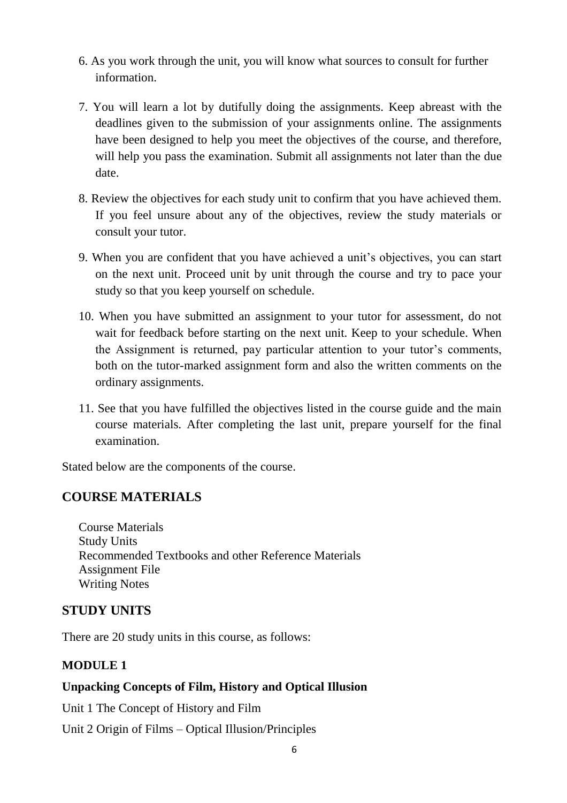- 6. As you work through the unit, you will know what sources to consult for further information.
- 7. You will learn a lot by dutifully doing the assignments. Keep abreast with the deadlines given to the submission of your assignments online. The assignments have been designed to help you meet the objectives of the course, and therefore, will help you pass the examination. Submit all assignments not later than the due date.
- 8. Review the objectives for each study unit to confirm that you have achieved them. If you feel unsure about any of the objectives, review the study materials or consult your tutor.
- 9. When you are confident that you have achieved a unit"s objectives, you can start on the next unit. Proceed unit by unit through the course and try to pace your study so that you keep yourself on schedule.
- 10. When you have submitted an assignment to your tutor for assessment, do not wait for feedback before starting on the next unit. Keep to your schedule. When the Assignment is returned, pay particular attention to your tutor"s comments, both on the tutor-marked assignment form and also the written comments on the ordinary assignments.
- 11. See that you have fulfilled the objectives listed in the course guide and the main course materials. After completing the last unit, prepare yourself for the final examination.

Stated below are the components of the course.

# **COURSE MATERIALS**

Course Materials Study Units Recommended Textbooks and other Reference Materials Assignment File Writing Notes

# **STUDY UNITS**

There are 20 study units in this course, as follows:

# **MODULE 1**

# **Unpacking Concepts of Film, History and Optical Illusion**

Unit 1 The Concept of History and Film

Unit 2 Origin of Films – Optical Illusion/Principles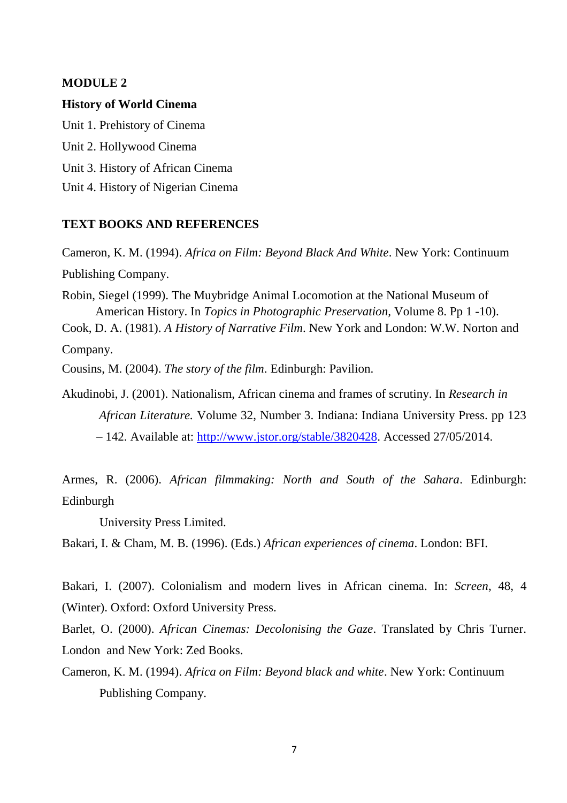#### **MODULE 2**

#### **History of World Cinema**

Unit 1. Prehistory of Cinema Unit 2. Hollywood Cinema Unit 3. History of African Cinema Unit 4. History of Nigerian Cinema

#### **TEXT BOOKS AND REFERENCES**

Cameron, K. M. (1994). *Africa on Film: Beyond Black And White*. New York: Continuum Publishing Company.

Robin, Siegel (1999). The Muybridge Animal Locomotion at the National Museum of American History. In *Topics in Photographic Preservation,* Volume 8. Pp 1 -10).

Cook, D. A. (1981). *A History of Narrative Film*. New York and London: W.W. Norton and Company.

Cousins, M. (2004). *The story of the film*. Edinburgh: Pavilion.

Akudinobi, J. (2001). Nationalism, African cinema and frames of scrutiny. In *Research in African Literature.* Volume 32, Number 3. Indiana: Indiana University Press. pp 123 – 142. Available at: [http://www.jstor.org/stable/3820428.](http://www.jstor.org/stable/3820428) Accessed 27/05/2014.

Armes, R. (2006). *African filmmaking: North and South of the Sahara*. Edinburgh: Edinburgh

University Press Limited.

Bakari, I. & Cham, M. B. (1996). (Eds.) *African experiences of cinema*. London: BFI.

Bakari, I. (2007). Colonialism and modern lives in African cinema. In: *Screen*, 48, 4 (Winter). Oxford: Oxford University Press.

Barlet, O. (2000). *African Cinemas: Decolonising the Gaze*. Translated by Chris Turner. London and New York: Zed Books.

Cameron, K. M. (1994). *Africa on Film: Beyond black and white*. New York: Continuum Publishing Company.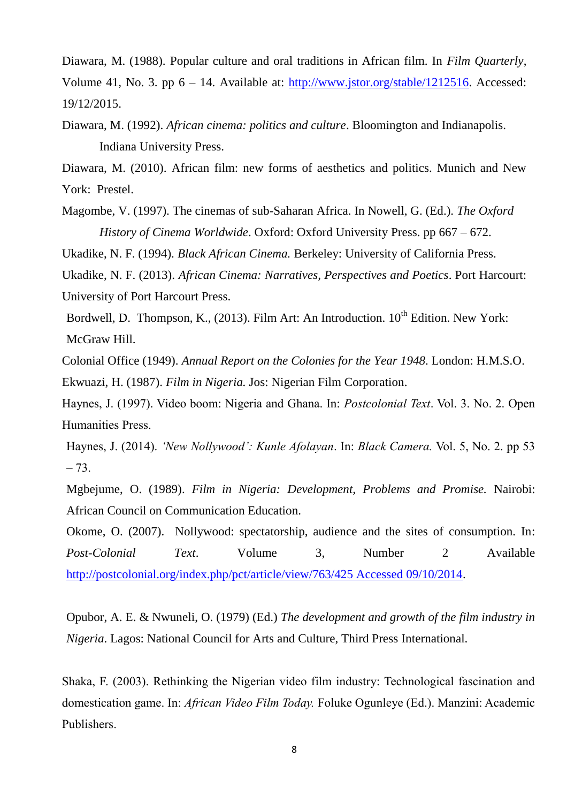Diawara, M. (1988). Popular culture and oral traditions in African film. In *Film Quarterly*, Volume 41, No. 3. pp  $6 - 14$ . Available at: [http://www.jstor.org/stable/1212516.](http://www.jstor.org/stable/1212516) Accessed: 19/12/2015.

- Diawara, M. (1992). *African cinema: politics and culture*. Bloomington and Indianapolis. Indiana University Press.
- Diawara, M. (2010). African film: new forms of aesthetics and politics. Munich and New York: Prestel.
- Magombe, V. (1997). The cinemas of sub-Saharan Africa. In Nowell, G. (Ed.). *The Oxford History of Cinema Worldwide*. Oxford: Oxford University Press. pp 667 – 672.

Ukadike, N. F. (1994). *Black African Cinema.* Berkeley: University of California Press.

Ukadike, N. F. (2013). *African Cinema: Narratives, Perspectives and Poetics*. Port Harcourt: University of Port Harcourt Press.

Bordwell, D. Thompson, K.,  $(2013)$ . Film Art: An Introduction.  $10^{th}$  Edition. New York: McGraw Hill.

Colonial Office (1949). *Annual Report on the Colonies for the Year 1948*. London: H.M.S.O. Ekwuazi, H. (1987). *Film in Nigeria.* Jos: Nigerian Film Corporation.

Haynes, J. (1997). Video boom: Nigeria and Ghana. In: *Postcolonial Text*. Vol. 3. No. 2. Open Humanities Press.

Haynes, J. (2014). *'New Nollywood': Kunle Afolayan*. In: *Black Camera.* Vol. 5, No. 2. pp 53  $-73.$ 

Mgbejume, O. (1989). *Film in Nigeria: Development, Problems and Promise.* Nairobi: African Council on Communication Education.

Okome, O. (2007). Nollywood: spectatorship, audience and the sites of consumption. In: *Post-Colonial Text*. Volume 3, Number 2 Available [http://postcolonial.org/index.php/pct/article/view/763/425 Accessed 09/10/2014.](http://postcolonial.org/index.php/pct/article/view/763/425%20Accessed%2009/10/2014)

Opubor, A. E. & Nwuneli, O. (1979) (Ed.) *The development and growth of the film industry in Nigeria*. Lagos: National Council for Arts and Culture, Third Press International.

Shaka, F. (2003). Rethinking the Nigerian video film industry: Technological fascination and domestication game. In: *African Video Film Today.* Foluke Ogunleye (Ed.). Manzini: Academic Publishers.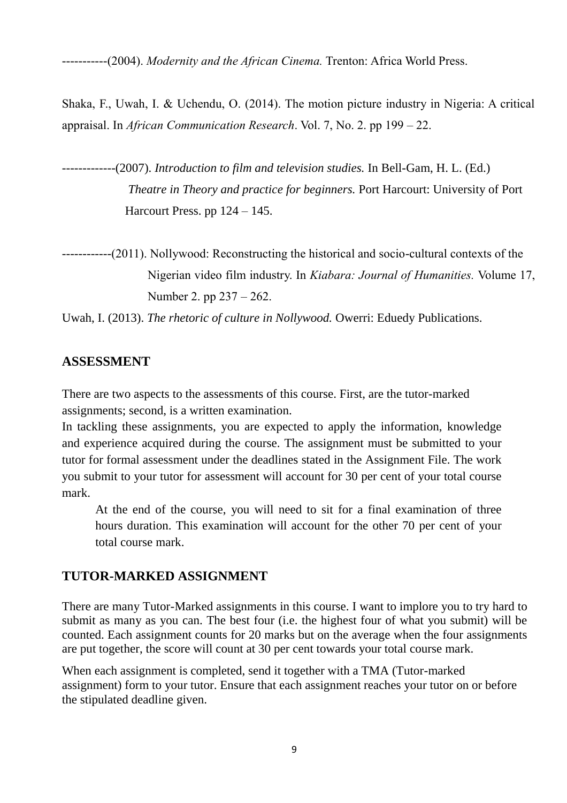-----------(2004). *Modernity and the African Cinema.* Trenton: Africa World Press.

Shaka, F., Uwah, I. & Uchendu, O. (2014). The motion picture industry in Nigeria: A critical appraisal. In *African Communication Research*. Vol. 7, No. 2. pp 199 – 22.

-------------(2007). *Introduction to film and television studies.* In Bell-Gam, H. L. (Ed.) *Theatre in Theory and practice for beginners.* Port Harcourt: University of Port Harcourt Press. pp  $124 - 145$ .

Uwah, I. (2013). *The rhetoric of culture in Nollywood.* Owerri: Eduedy Publications.

# **ASSESSMENT**

There are two aspects to the assessments of this course. First, are the tutor-marked assignments; second, is a written examination.

In tackling these assignments, you are expected to apply the information, knowledge and experience acquired during the course. The assignment must be submitted to your tutor for formal assessment under the deadlines stated in the Assignment File. The work you submit to your tutor for assessment will account for 30 per cent of your total course mark.

At the end of the course, you will need to sit for a final examination of three hours duration. This examination will account for the other 70 per cent of your total course mark.

# **TUTOR-MARKED ASSIGNMENT**

There are many Tutor-Marked assignments in this course. I want to implore you to try hard to submit as many as you can. The best four (i.e. the highest four of what you submit) will be counted. Each assignment counts for 20 marks but on the average when the four assignments are put together, the score will count at 30 per cent towards your total course mark.

When each assignment is completed, send it together with a TMA (Tutor-marked assignment) form to your tutor. Ensure that each assignment reaches your tutor on or before the stipulated deadline given.

<sup>------------(2011).</sup> Nollywood: Reconstructing the historical and socio-cultural contexts of the Nigerian video film industry. In *Kiabara: Journal of Humanities.* Volume 17, Number 2. pp 237 – 262.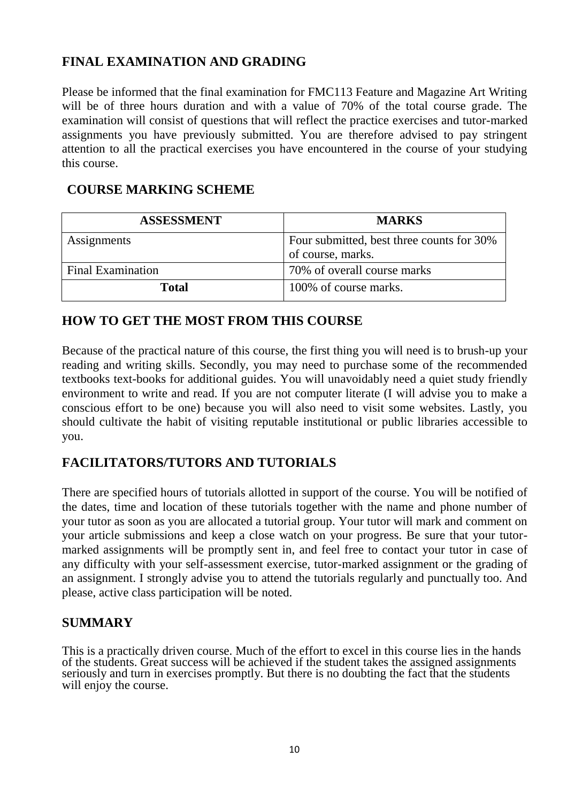# **FINAL EXAMINATION AND GRADING**

Please be informed that the final examination for FMC113 Feature and Magazine Art Writing will be of three hours duration and with a value of 70% of the total course grade. The examination will consist of questions that will reflect the practice exercises and tutor-marked assignments you have previously submitted. You are therefore advised to pay stringent attention to all the practical exercises you have encountered in the course of your studying this course.

# **COURSE MARKING SCHEME**

| <b>ASSESSMENT</b>        | <b>MARKS</b>                              |
|--------------------------|-------------------------------------------|
| Assignments              | Four submitted, best three counts for 30% |
|                          | of course, marks.                         |
| <b>Final Examination</b> | 70% of overall course marks               |
| <b>Total</b>             | 100% of course marks.                     |

# **HOW TO GET THE MOST FROM THIS COURSE**

Because of the practical nature of this course, the first thing you will need is to brush-up your reading and writing skills. Secondly, you may need to purchase some of the recommended textbooks text-books for additional guides. You will unavoidably need a quiet study friendly environment to write and read. If you are not computer literate (I will advise you to make a conscious effort to be one) because you will also need to visit some websites. Lastly, you should cultivate the habit of visiting reputable institutional or public libraries accessible to you.

# **FACILITATORS/TUTORS AND TUTORIALS**

There are specified hours of tutorials allotted in support of the course. You will be notified of the dates, time and location of these tutorials together with the name and phone number of your tutor as soon as you are allocated a tutorial group. Your tutor will mark and comment on your article submissions and keep a close watch on your progress. Be sure that your tutormarked assignments will be promptly sent in, and feel free to contact your tutor in case of any difficulty with your self-assessment exercise, tutor-marked assignment or the grading of an assignment. I strongly advise you to attend the tutorials regularly and punctually too. And please, active class participation will be noted.

# **SUMMARY**

This is a practically driven course. Much of the effort to excel in this course lies in the hands of the students. Great success will be achieved if the student takes the assigned assignments seriously and turn in exercises promptly. But there is no doubting the fact that the students will enjoy the course.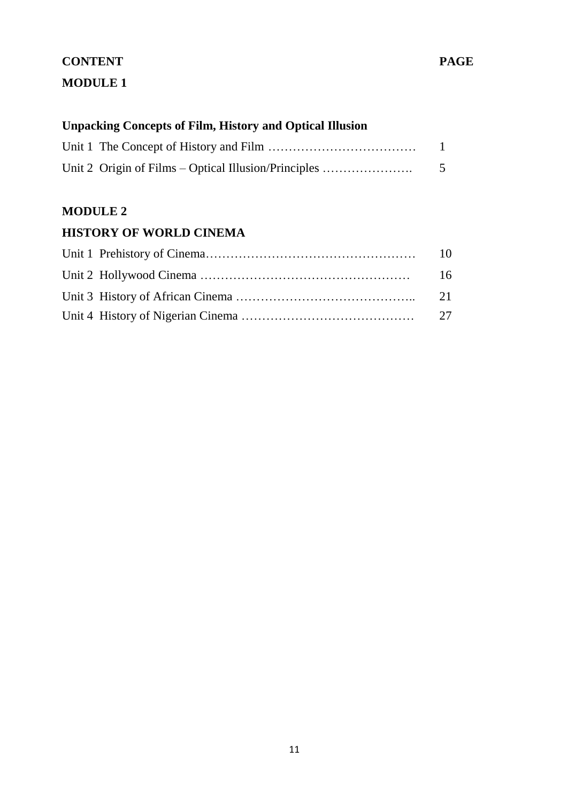# **CONTENT PAGE MODULE 1**

# **Unpacking Concepts of Film, History and Optical Illusion**

| Unit 2 Origin of Films – Optical Illusion/Principles | 5 |
|------------------------------------------------------|---|

# **MODULE 2**

# **HISTORY OF WORLD CINEMA**

|  | 16 |
|--|----|
|  |    |
|  |    |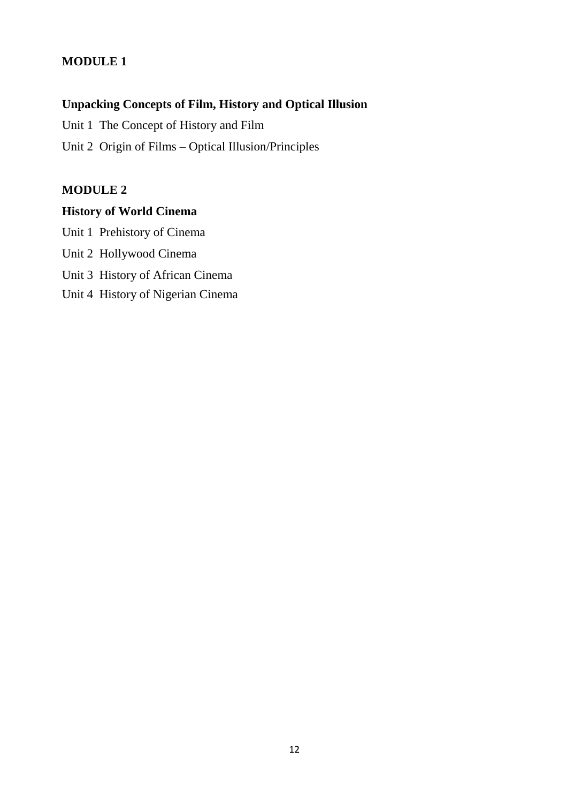# **MODULE 1**

# **Unpacking Concepts of Film, History and Optical Illusion**

Unit 1 The Concept of History and Film

Unit 2 Origin of Films – Optical Illusion/Principles

# **MODULE 2**

# **History of World Cinema**

Unit 1 Prehistory of Cinema Unit 2 Hollywood Cinema Unit 3 History of African Cinema Unit 4 History of Nigerian Cinema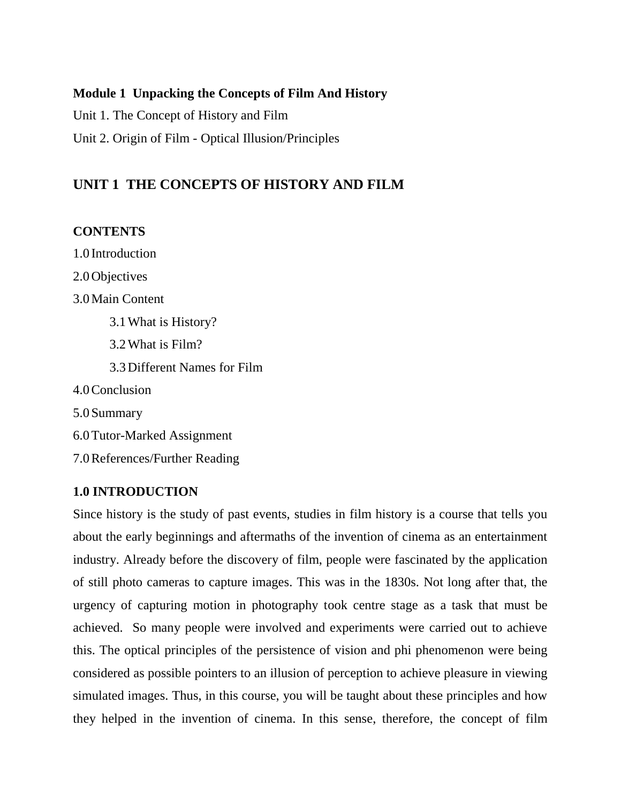### **Module 1 Unpacking the Concepts of Film And History**

Unit 1. The Concept of History and Film

Unit 2. Origin of Film - Optical Illusion/Principles

# **UNIT 1 THE CONCEPTS OF HISTORY AND FILM**

# **CONTENTS**

1.0 Introduction 2.0Objectives 3.0Main Content 3.1What is History? 3.2What is Film? 3.3Different Names for Film 4.0Conclusion 5.0Summary 6.0Tutor-Marked Assignment 7.0References/Further Reading

# **1.0 INTRODUCTION**

Since history is the study of past events, studies in film history is a course that tells you about the early beginnings and aftermaths of the invention of cinema as an entertainment industry. Already before the discovery of film, people were fascinated by the application of still photo cameras to capture images. This was in the 1830s. Not long after that, the urgency of capturing motion in photography took centre stage as a task that must be achieved. So many people were involved and experiments were carried out to achieve this. The optical principles of the persistence of vision and phi phenomenon were being considered as possible pointers to an illusion of perception to achieve pleasure in viewing simulated images. Thus, in this course, you will be taught about these principles and how they helped in the invention of cinema. In this sense, therefore, the concept of film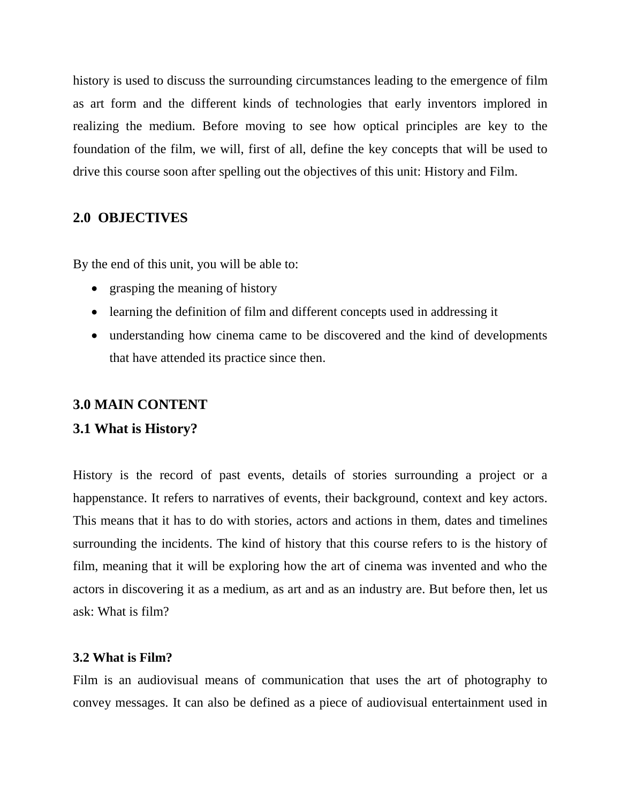history is used to discuss the surrounding circumstances leading to the emergence of film as art form and the different kinds of technologies that early inventors implored in realizing the medium. Before moving to see how optical principles are key to the foundation of the film, we will, first of all, define the key concepts that will be used to drive this course soon after spelling out the objectives of this unit: History and Film.

# **2.0 OBJECTIVES**

By the end of this unit, you will be able to:

- grasping the meaning of history
- learning the definition of film and different concepts used in addressing it
- understanding how cinema came to be discovered and the kind of developments that have attended its practice since then.

### **3.0 MAIN CONTENT**

#### **3.1 What is History?**

History is the record of past events, details of stories surrounding a project or a happenstance. It refers to narratives of events, their background, context and key actors. This means that it has to do with stories, actors and actions in them, dates and timelines surrounding the incidents. The kind of history that this course refers to is the history of film, meaning that it will be exploring how the art of cinema was invented and who the actors in discovering it as a medium, as art and as an industry are. But before then, let us ask: What is film?

#### **3.2 What is Film?**

Film is an audiovisual means of communication that uses the art of photography to convey messages. It can also be defined as a piece of audiovisual entertainment used in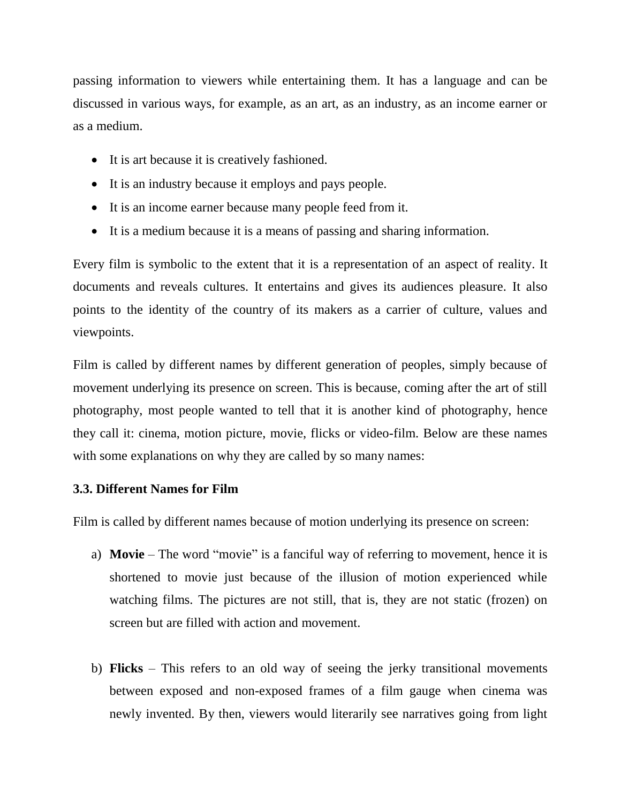passing information to viewers while entertaining them. It has a language and can be discussed in various ways, for example, as an art, as an industry, as an income earner or as a medium.

- It is art because it is creatively fashioned.
- It is an industry because it employs and pays people.
- It is an income earner because many people feed from it.
- It is a medium because it is a means of passing and sharing information.

Every film is symbolic to the extent that it is a representation of an aspect of reality. It documents and reveals cultures. It entertains and gives its audiences pleasure. It also points to the identity of the country of its makers as a carrier of culture, values and viewpoints.

Film is called by different names by different generation of peoples, simply because of movement underlying its presence on screen. This is because, coming after the art of still photography, most people wanted to tell that it is another kind of photography, hence they call it: cinema, motion picture, movie, flicks or video-film. Below are these names with some explanations on why they are called by so many names:

# **3.3. Different Names for Film**

Film is called by different names because of motion underlying its presence on screen:

- a) **Movie** The word "movie" is a fanciful way of referring to movement, hence it is shortened to movie just because of the illusion of motion experienced while watching films. The pictures are not still, that is, they are not static (frozen) on screen but are filled with action and movement.
- b) **Flicks** This refers to an old way of seeing the jerky transitional movements between exposed and non-exposed frames of a film gauge when cinema was newly invented. By then, viewers would literarily see narratives going from light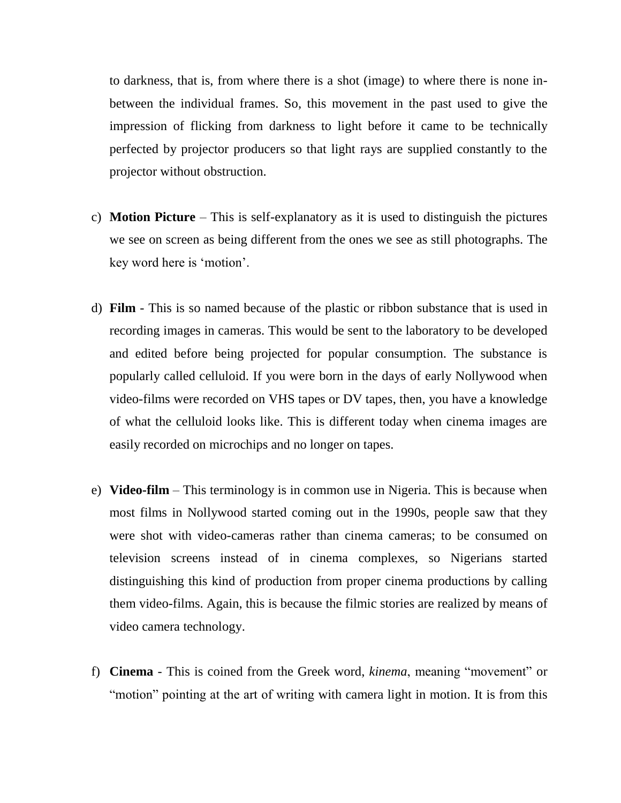to darkness, that is, from where there is a shot (image) to where there is none inbetween the individual frames. So, this movement in the past used to give the impression of flicking from darkness to light before it came to be technically perfected by projector producers so that light rays are supplied constantly to the projector without obstruction.

- c) **Motion Picture** This is self-explanatory as it is used to distinguish the pictures we see on screen as being different from the ones we see as still photographs. The key word here is "motion".
- d) **Film** This is so named because of the plastic or ribbon substance that is used in recording images in cameras. This would be sent to the laboratory to be developed and edited before being projected for popular consumption. The substance is popularly called celluloid. If you were born in the days of early Nollywood when video-films were recorded on VHS tapes or DV tapes, then, you have a knowledge of what the celluloid looks like. This is different today when cinema images are easily recorded on microchips and no longer on tapes.
- e) **Video-film** This terminology is in common use in Nigeria. This is because when most films in Nollywood started coming out in the 1990s, people saw that they were shot with video-cameras rather than cinema cameras; to be consumed on television screens instead of in cinema complexes, so Nigerians started distinguishing this kind of production from proper cinema productions by calling them video-films. Again, this is because the filmic stories are realized by means of video camera technology.
- f) **Cinema** This is coined from the Greek word, *kinema*, meaning "movement" or "motion" pointing at the art of writing with camera light in motion. It is from this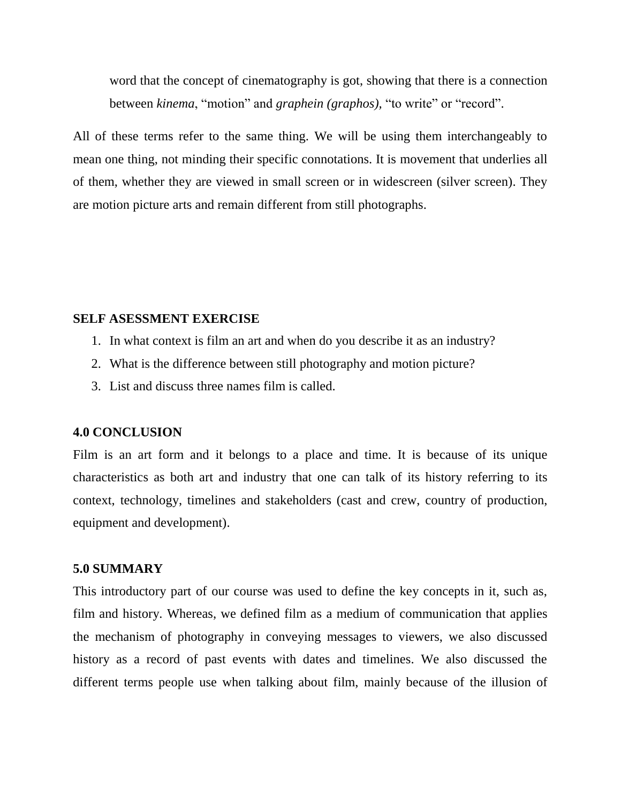word that the concept of cinematography is got, showing that there is a connection between *kinema*, "motion" and *graphein (graphos),* "to write" or "record".

All of these terms refer to the same thing. We will be using them interchangeably to mean one thing, not minding their specific connotations. It is movement that underlies all of them, whether they are viewed in small screen or in widescreen (silver screen). They are motion picture arts and remain different from still photographs.

#### **SELF ASESSMENT EXERCISE**

- 1. In what context is film an art and when do you describe it as an industry?
- 2. What is the difference between still photography and motion picture?
- 3. List and discuss three names film is called.

#### **4.0 CONCLUSION**

Film is an art form and it belongs to a place and time. It is because of its unique characteristics as both art and industry that one can talk of its history referring to its context, technology, timelines and stakeholders (cast and crew, country of production, equipment and development).

#### **5.0 SUMMARY**

This introductory part of our course was used to define the key concepts in it, such as, film and history. Whereas, we defined film as a medium of communication that applies the mechanism of photography in conveying messages to viewers, we also discussed history as a record of past events with dates and timelines. We also discussed the different terms people use when talking about film, mainly because of the illusion of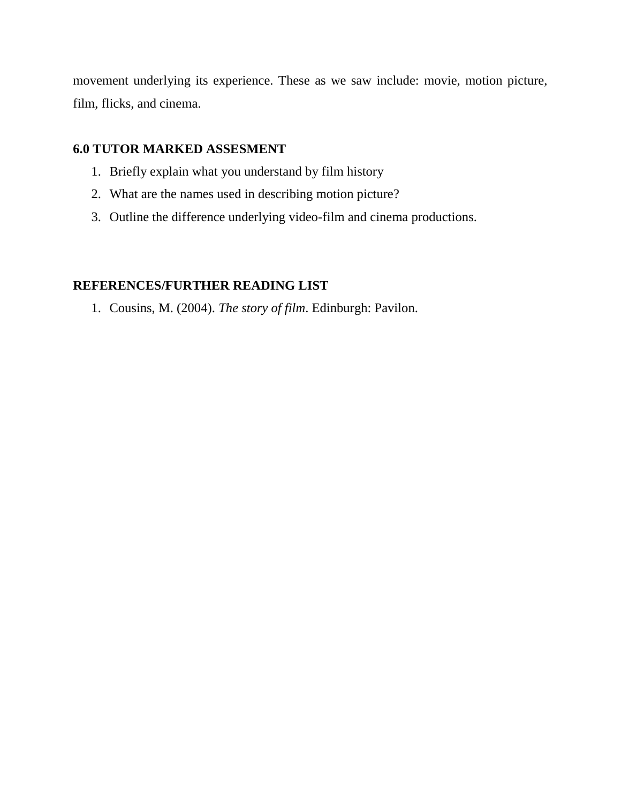movement underlying its experience. These as we saw include: movie, motion picture, film, flicks, and cinema.

### **6.0 TUTOR MARKED ASSESMENT**

- 1. Briefly explain what you understand by film history
- 2. What are the names used in describing motion picture?
- 3. Outline the difference underlying video-film and cinema productions.

# **REFERENCES/FURTHER READING LIST**

1. Cousins, M. (2004). *The story of film*. Edinburgh: Pavilon.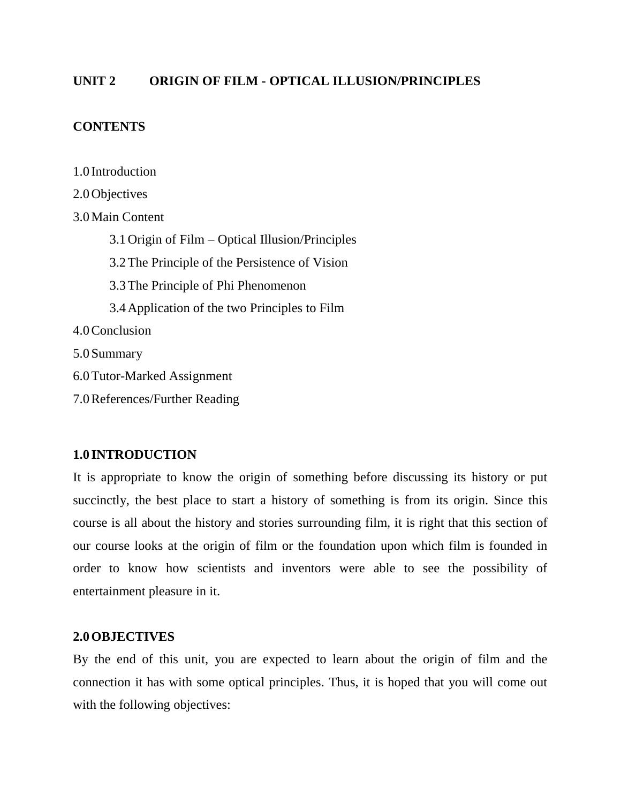### **UNIT 2 ORIGIN OF FILM - OPTICAL ILLUSION/PRINCIPLES**

#### **CONTENTS**

1.0 Introduction

2.0Objectives 3.0Main Content 3.1Origin of Film – Optical Illusion/Principles 3.2The Principle of the Persistence of Vision 3.3The Principle of Phi Phenomenon 3.4Application of the two Principles to Film 4.0Conclusion 5.0Summary 6.0Tutor-Marked Assignment 7.0References/Further Reading

### **1.0 INTRODUCTION**

It is appropriate to know the origin of something before discussing its history or put succinctly, the best place to start a history of something is from its origin. Since this course is all about the history and stories surrounding film, it is right that this section of our course looks at the origin of film or the foundation upon which film is founded in order to know how scientists and inventors were able to see the possibility of entertainment pleasure in it.

### **2.0OBJECTIVES**

By the end of this unit, you are expected to learn about the origin of film and the connection it has with some optical principles. Thus, it is hoped that you will come out with the following objectives: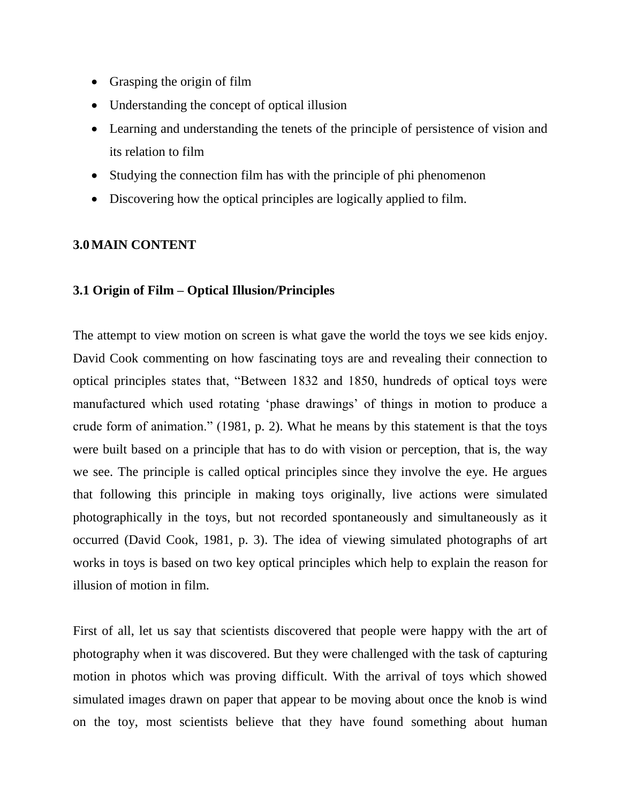- Grasping the origin of film
- Understanding the concept of optical illusion
- Learning and understanding the tenets of the principle of persistence of vision and its relation to film
- Studying the connection film has with the principle of phi phenomenon
- Discovering how the optical principles are logically applied to film.

#### **3.0MAIN CONTENT**

#### **3.1 Origin of Film – Optical Illusion/Principles**

The attempt to view motion on screen is what gave the world the toys we see kids enjoy. David Cook commenting on how fascinating toys are and revealing their connection to optical principles states that, "Between 1832 and 1850, hundreds of optical toys were manufactured which used rotating "phase drawings" of things in motion to produce a crude form of animation." (1981, p. 2). What he means by this statement is that the toys were built based on a principle that has to do with vision or perception, that is, the way we see. The principle is called optical principles since they involve the eye. He argues that following this principle in making toys originally, live actions were simulated photographically in the toys, but not recorded spontaneously and simultaneously as it occurred (David Cook, 1981, p. 3). The idea of viewing simulated photographs of art works in toys is based on two key optical principles which help to explain the reason for illusion of motion in film.

First of all, let us say that scientists discovered that people were happy with the art of photography when it was discovered. But they were challenged with the task of capturing motion in photos which was proving difficult. With the arrival of toys which showed simulated images drawn on paper that appear to be moving about once the knob is wind on the toy, most scientists believe that they have found something about human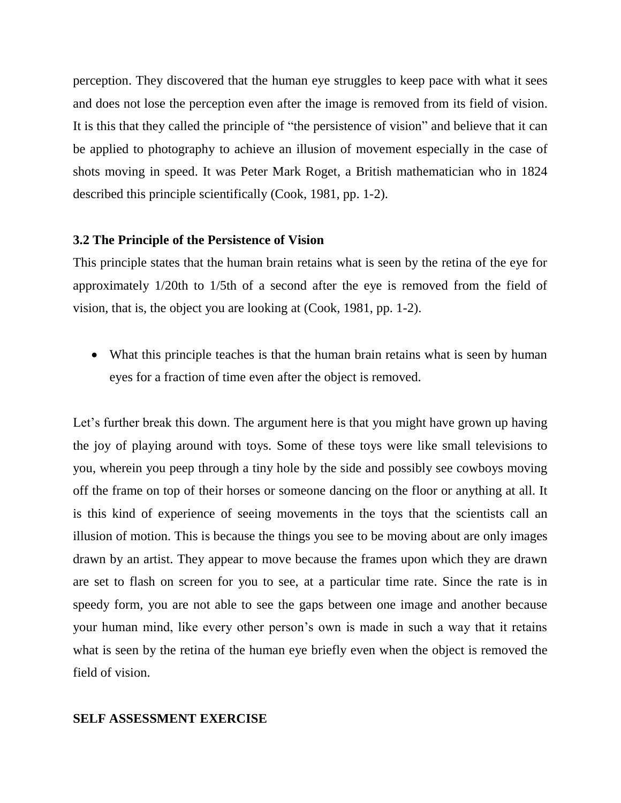perception. They discovered that the human eye struggles to keep pace with what it sees and does not lose the perception even after the image is removed from its field of vision. It is this that they called the principle of "the persistence of vision" and believe that it can be applied to photography to achieve an illusion of movement especially in the case of shots moving in speed. It was Peter Mark Roget, a British mathematician who in 1824 described this principle scientifically (Cook, 1981, pp. 1-2).

#### **3.2 The Principle of the Persistence of Vision**

This principle states that the human brain retains what is seen by the retina of the eye for approximately 1/20th to 1/5th of a second after the eye is removed from the field of vision, that is, the object you are looking at (Cook, 1981, pp. 1-2).

• What this principle teaches is that the human brain retains what is seen by human eyes for a fraction of time even after the object is removed.

Let's further break this down. The argument here is that you might have grown up having the joy of playing around with toys. Some of these toys were like small televisions to you, wherein you peep through a tiny hole by the side and possibly see cowboys moving off the frame on top of their horses or someone dancing on the floor or anything at all. It is this kind of experience of seeing movements in the toys that the scientists call an illusion of motion. This is because the things you see to be moving about are only images drawn by an artist. They appear to move because the frames upon which they are drawn are set to flash on screen for you to see, at a particular time rate. Since the rate is in speedy form, you are not able to see the gaps between one image and another because your human mind, like every other person"s own is made in such a way that it retains what is seen by the retina of the human eye briefly even when the object is removed the field of vision.

#### **SELF ASSESSMENT EXERCISE**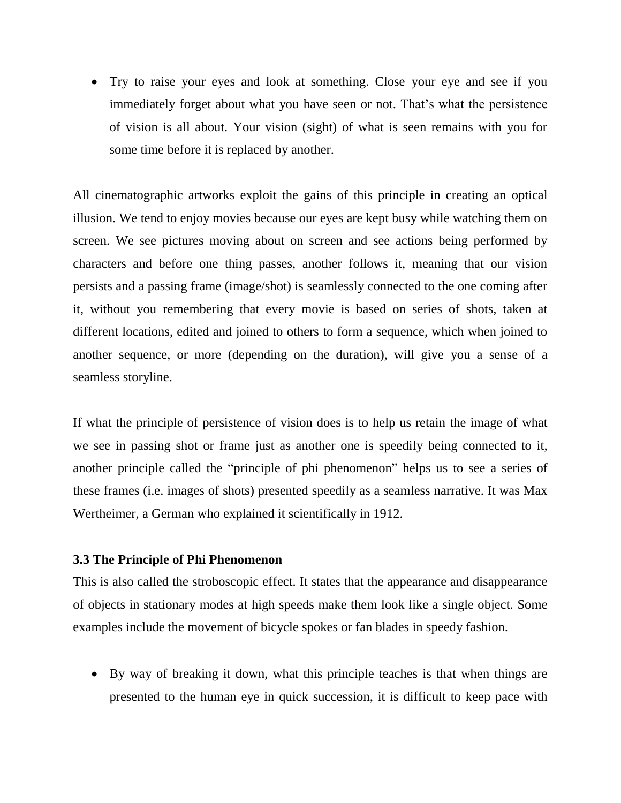Try to raise your eyes and look at something. Close your eye and see if you immediately forget about what you have seen or not. That"s what the persistence of vision is all about. Your vision (sight) of what is seen remains with you for some time before it is replaced by another.

All cinematographic artworks exploit the gains of this principle in creating an optical illusion. We tend to enjoy movies because our eyes are kept busy while watching them on screen. We see pictures moving about on screen and see actions being performed by characters and before one thing passes, another follows it, meaning that our vision persists and a passing frame (image/shot) is seamlessly connected to the one coming after it, without you remembering that every movie is based on series of shots, taken at different locations, edited and joined to others to form a sequence, which when joined to another sequence, or more (depending on the duration), will give you a sense of a seamless storyline.

If what the principle of persistence of vision does is to help us retain the image of what we see in passing shot or frame just as another one is speedily being connected to it, another principle called the "principle of phi phenomenon" helps us to see a series of these frames (i.e. images of shots) presented speedily as a seamless narrative. It was Max Wertheimer, a German who explained it scientifically in 1912.

#### **3.3 The Principle of Phi Phenomenon**

This is also called the stroboscopic effect. It states that the appearance and disappearance of objects in stationary modes at high speeds make them look like a single object. Some examples include the movement of bicycle spokes or fan blades in speedy fashion.

 By way of breaking it down, what this principle teaches is that when things are presented to the human eye in quick succession, it is difficult to keep pace with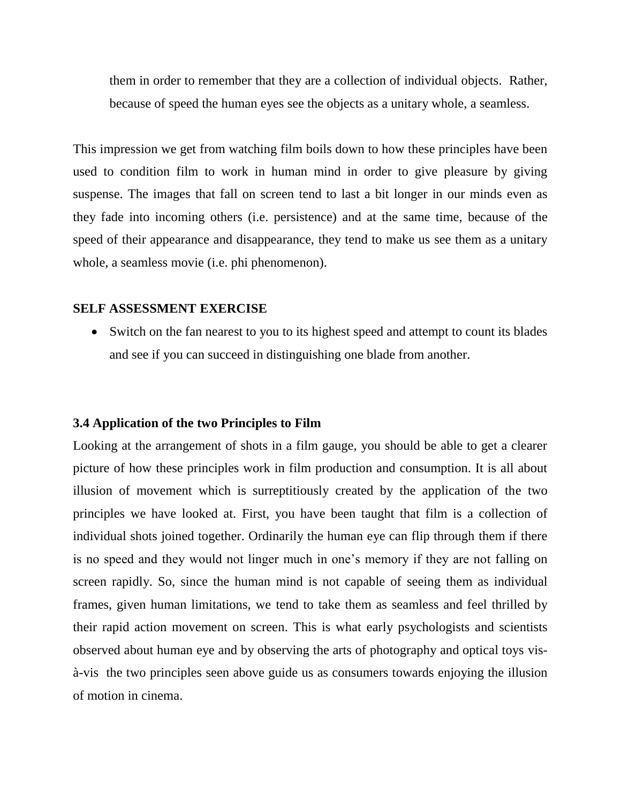them in order to remember that they are a collection of individual objects. Rather, because of speed the human eyes see the objects as a unitary whole, a seamless.

This impression we get from watching film boils down to how these principles have been used to condition film to work in human mind in order to give pleasure by giving suspense. The images that fall on screen tend to last a bit longer in our minds even as they fade into incoming others (i.e. persistence) and at the same time, because of the speed of their appearance and disappearance, they tend to make us see them as a unitary whole, a seamless movie (i.e. phi phenomenon).

#### **SELF ASSESSMENT EXERCISE**

• Switch on the fan nearest to you to its highest speed and attempt to count its blades and see if you can succeed in distinguishing one blade from another.

#### **3.4 Application of the two Principles to Film**

Looking at the arrangement of shots in a film gauge, you should be able to get a clearer picture of how these principles work in film production and consumption. It is all about illusion of movement which is surreptitiously created by the application of the two principles we have looked at. First, you have been taught that film is a collection of individual shots joined together. Ordinarily the human eye can flip through them if there is no speed and they would not linger much in one's memory if they are not falling on screen rapidly. So, since the human mind is not capable of seeing them as individual frames, given human limitations, we tend to take them as seamless and feel thrilled by their rapid action movement on screen. This is what early psychologists and scientists observed about human eye and by observing the arts of photography and optical toys visà-vis the two principles seen above guide us as consumers towards enjoying the illusion of motion in cinema.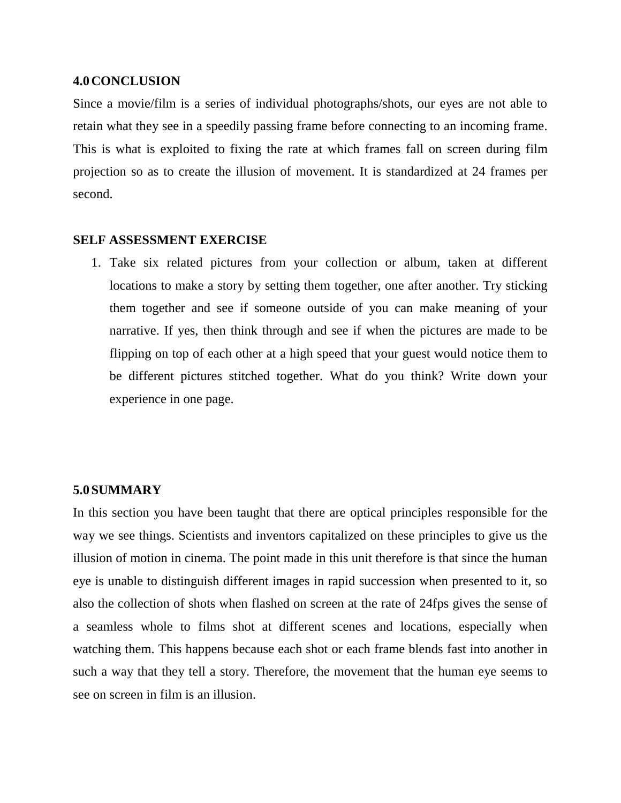#### **4.0CONCLUSION**

Since a movie/film is a series of individual photographs/shots, our eyes are not able to retain what they see in a speedily passing frame before connecting to an incoming frame. This is what is exploited to fixing the rate at which frames fall on screen during film projection so as to create the illusion of movement. It is standardized at 24 frames per second.

#### **SELF ASSESSMENT EXERCISE**

1. Take six related pictures from your collection or album, taken at different locations to make a story by setting them together, one after another. Try sticking them together and see if someone outside of you can make meaning of your narrative. If yes, then think through and see if when the pictures are made to be flipping on top of each other at a high speed that your guest would notice them to be different pictures stitched together. What do you think? Write down your experience in one page.

#### **5.0SUMMARY**

In this section you have been taught that there are optical principles responsible for the way we see things. Scientists and inventors capitalized on these principles to give us the illusion of motion in cinema. The point made in this unit therefore is that since the human eye is unable to distinguish different images in rapid succession when presented to it, so also the collection of shots when flashed on screen at the rate of 24fps gives the sense of a seamless whole to films shot at different scenes and locations, especially when watching them. This happens because each shot or each frame blends fast into another in such a way that they tell a story. Therefore, the movement that the human eye seems to see on screen in film is an illusion.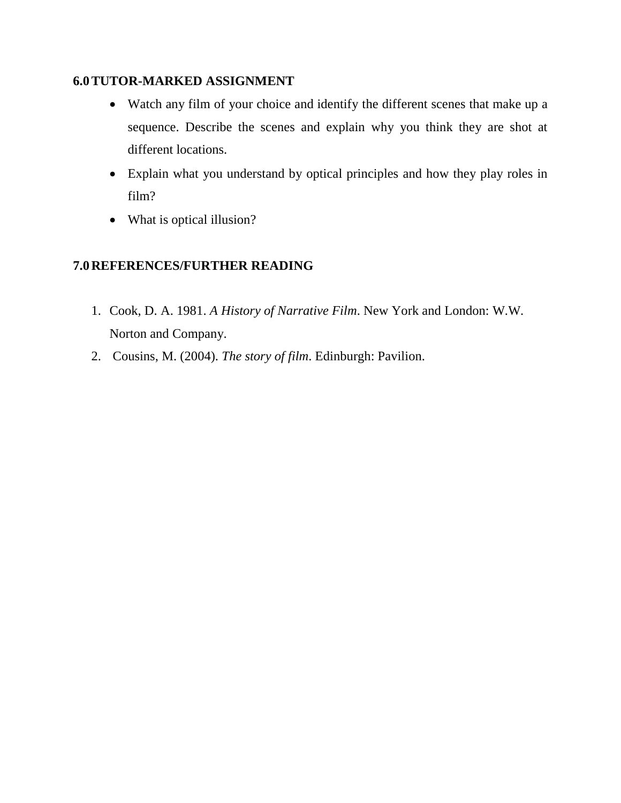# **6.0TUTOR-MARKED ASSIGNMENT**

- Watch any film of your choice and identify the different scenes that make up a sequence. Describe the scenes and explain why you think they are shot at different locations.
- Explain what you understand by optical principles and how they play roles in film?
- What is optical illusion?

# **7.0REFERENCES/FURTHER READING**

- 1. Cook, D. A. 1981. *A History of Narrative Film*. New York and London: W.W. Norton and Company.
- 2. Cousins, M. (2004). *The story of film*. Edinburgh: Pavilion.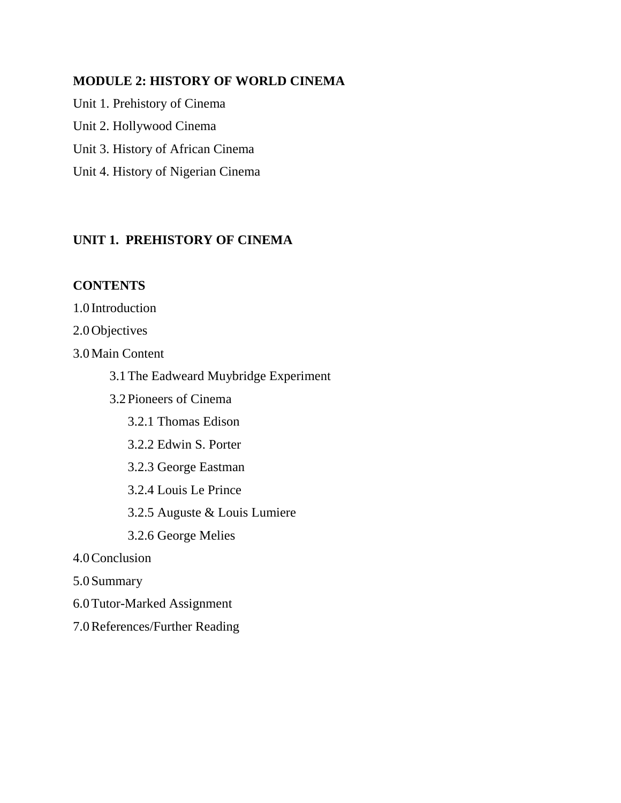### **MODULE 2: HISTORY OF WORLD CINEMA**

Unit 1. Prehistory of Cinema Unit 2. Hollywood Cinema Unit 3. History of African Cinema Unit 4. History of Nigerian Cinema

# **UNIT 1. PREHISTORY OF CINEMA**

### **CONTENTS**

1.0 Introduction

2.0Objectives

3.0Main Content

3.1The Eadweard Muybridge Experiment

- 3.2Pioneers of Cinema
	- 3.2.1 Thomas Edison
	- 3.2.2 Edwin S. Porter
	- 3.2.3 George Eastman
	- 3.2.4 Louis Le Prince

3.2.5 Auguste & Louis Lumiere

3.2.6 George Melies

- 4.0Conclusion
- 5.0Summary
- 6.0Tutor-Marked Assignment
- 7.0References/Further Reading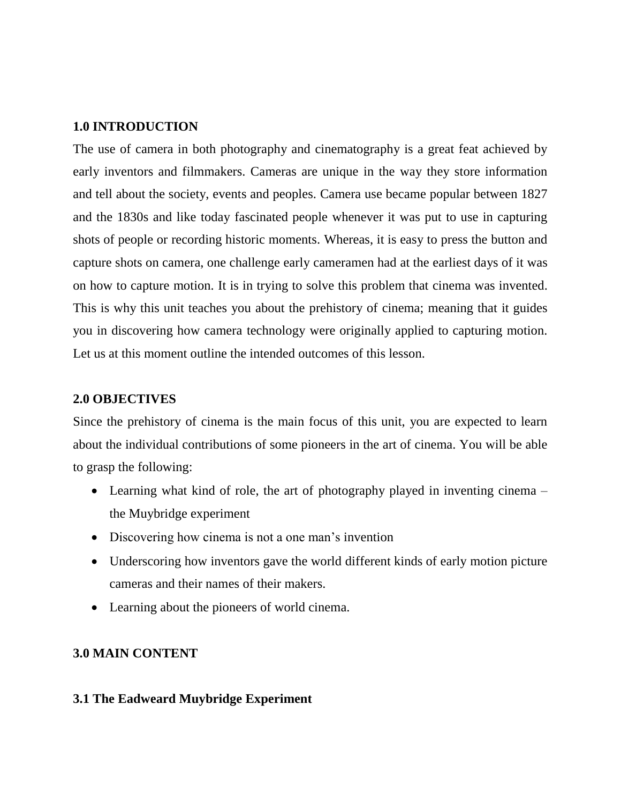#### **1.0 INTRODUCTION**

The use of camera in both photography and cinematography is a great feat achieved by early inventors and filmmakers. Cameras are unique in the way they store information and tell about the society, events and peoples. Camera use became popular between 1827 and the 1830s and like today fascinated people whenever it was put to use in capturing shots of people or recording historic moments. Whereas, it is easy to press the button and capture shots on camera, one challenge early cameramen had at the earliest days of it was on how to capture motion. It is in trying to solve this problem that cinema was invented. This is why this unit teaches you about the prehistory of cinema; meaning that it guides you in discovering how camera technology were originally applied to capturing motion. Let us at this moment outline the intended outcomes of this lesson.

#### **2.0 OBJECTIVES**

Since the prehistory of cinema is the main focus of this unit, you are expected to learn about the individual contributions of some pioneers in the art of cinema. You will be able to grasp the following:

- Learning what kind of role, the art of photography played in inventing cinema the Muybridge experiment
- Discovering how cinema is not a one man's invention
- Underscoring how inventors gave the world different kinds of early motion picture cameras and their names of their makers.
- Learning about the pioneers of world cinema.

### **3.0 MAIN CONTENT**

#### **3.1 The Eadweard Muybridge Experiment**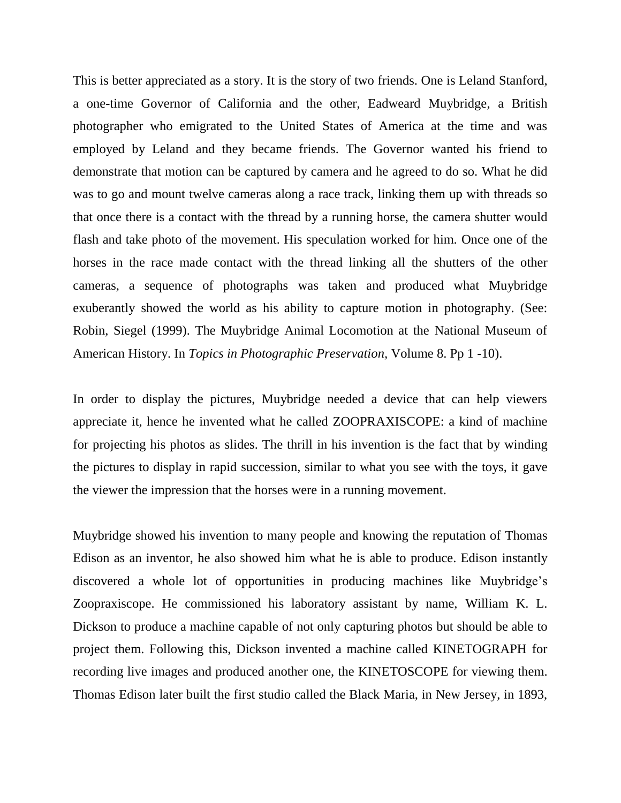This is better appreciated as a story. It is the story of two friends. One is Leland Stanford, a one-time Governor of California and the other, Eadweard Muybridge, a British photographer who emigrated to the United States of America at the time and was employed by Leland and they became friends. The Governor wanted his friend to demonstrate that motion can be captured by camera and he agreed to do so. What he did was to go and mount twelve cameras along a race track, linking them up with threads so that once there is a contact with the thread by a running horse, the camera shutter would flash and take photo of the movement. His speculation worked for him. Once one of the horses in the race made contact with the thread linking all the shutters of the other cameras, a sequence of photographs was taken and produced what Muybridge exuberantly showed the world as his ability to capture motion in photography. (See: Robin, Siegel (1999). The Muybridge Animal Locomotion at the National Museum of American History. In *Topics in Photographic Preservation,* Volume 8. Pp 1 -10).

In order to display the pictures, Muybridge needed a device that can help viewers appreciate it, hence he invented what he called ZOOPRAXISCOPE: a kind of machine for projecting his photos as slides. The thrill in his invention is the fact that by winding the pictures to display in rapid succession, similar to what you see with the toys, it gave the viewer the impression that the horses were in a running movement.

Muybridge showed his invention to many people and knowing the reputation of Thomas Edison as an inventor, he also showed him what he is able to produce. Edison instantly discovered a whole lot of opportunities in producing machines like Muybridge's Zoopraxiscope. He commissioned his laboratory assistant by name, William K. L. Dickson to produce a machine capable of not only capturing photos but should be able to project them. Following this, Dickson invented a machine called KINETOGRAPH for recording live images and produced another one, the KINETOSCOPE for viewing them. Thomas Edison later built the first studio called the Black Maria, in New Jersey, in 1893,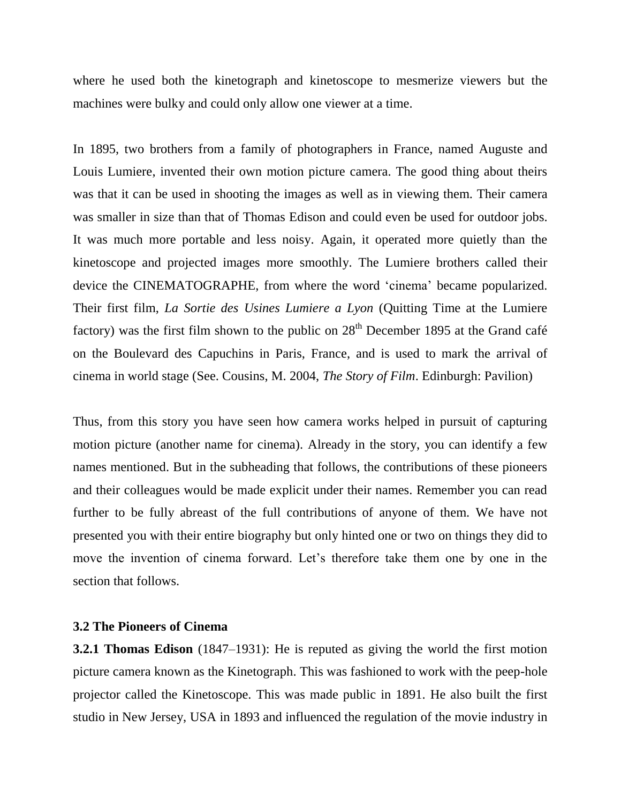where he used both the kinetograph and kinetoscope to mesmerize viewers but the machines were bulky and could only allow one viewer at a time.

In 1895, two brothers from a family of photographers in France, named Auguste and Louis Lumiere, invented their own motion picture camera. The good thing about theirs was that it can be used in shooting the images as well as in viewing them. Their camera was smaller in size than that of Thomas Edison and could even be used for outdoor jobs. It was much more portable and less noisy. Again, it operated more quietly than the kinetoscope and projected images more smoothly. The Lumiere brothers called their device the CINEMATOGRAPHE, from where the word "cinema" became popularized. Their first film, *La Sortie des Usines Lumiere a Lyon* (Quitting Time at the Lumiere factory) was the first film shown to the public on  $28<sup>th</sup>$  December 1895 at the Grand café on the Boulevard des Capuchins in Paris, France, and is used to mark the arrival of cinema in world stage (See. Cousins, M. 2004, *The Story of Film*. Edinburgh: Pavilion)

Thus, from this story you have seen how camera works helped in pursuit of capturing motion picture (another name for cinema). Already in the story, you can identify a few names mentioned. But in the subheading that follows, the contributions of these pioneers and their colleagues would be made explicit under their names. Remember you can read further to be fully abreast of the full contributions of anyone of them. We have not presented you with their entire biography but only hinted one or two on things they did to move the invention of cinema forward. Let's therefore take them one by one in the section that follows.

# **3.2 The Pioneers of Cinema**

**3.2.1 Thomas Edison** (1847–1931): He is reputed as giving the world the first motion picture camera known as the Kinetograph. This was fashioned to work with the peep-hole projector called the Kinetoscope. This was made public in 1891. He also built the first studio in New Jersey, USA in 1893 and influenced the regulation of the movie industry in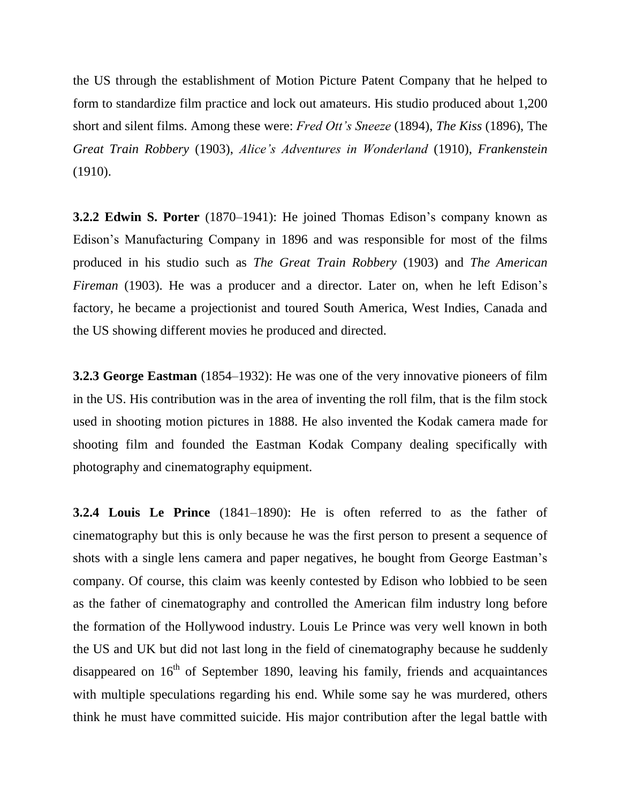the US through the establishment of Motion Picture Patent Company that he helped to form to standardize film practice and lock out amateurs. His studio produced about 1,200 short and silent films. Among these were: *Fred Ott's Sneeze* (1894), *The Kiss* (1896), The *Great Train Robbery* (1903), *Alice's Adventures in Wonderland* (1910), *Frankenstein* (1910).

**3.2.2 Edwin S. Porter** (1870–1941): He joined Thomas Edison's company known as Edison"s Manufacturing Company in 1896 and was responsible for most of the films produced in his studio such as *The Great Train Robbery* (1903) and *The American Fireman* (1903). He was a producer and a director. Later on, when he left Edison's factory, he became a projectionist and toured South America, West Indies, Canada and the US showing different movies he produced and directed.

**3.2.3 George Eastman** (1854–1932): He was one of the very innovative pioneers of film in the US. His contribution was in the area of inventing the roll film, that is the film stock used in shooting motion pictures in 1888. He also invented the Kodak camera made for shooting film and founded the Eastman Kodak Company dealing specifically with photography and cinematography equipment.

**3.2.4 Louis Le Prince** (1841–1890): He is often referred to as the father of cinematography but this is only because he was the first person to present a sequence of shots with a single lens camera and paper negatives, he bought from George Eastman"s company. Of course, this claim was keenly contested by Edison who lobbied to be seen as the father of cinematography and controlled the American film industry long before the formation of the Hollywood industry. Louis Le Prince was very well known in both the US and UK but did not last long in the field of cinematography because he suddenly disappeared on  $16<sup>th</sup>$  of September 1890, leaving his family, friends and acquaintances with multiple speculations regarding his end. While some say he was murdered, others think he must have committed suicide. His major contribution after the legal battle with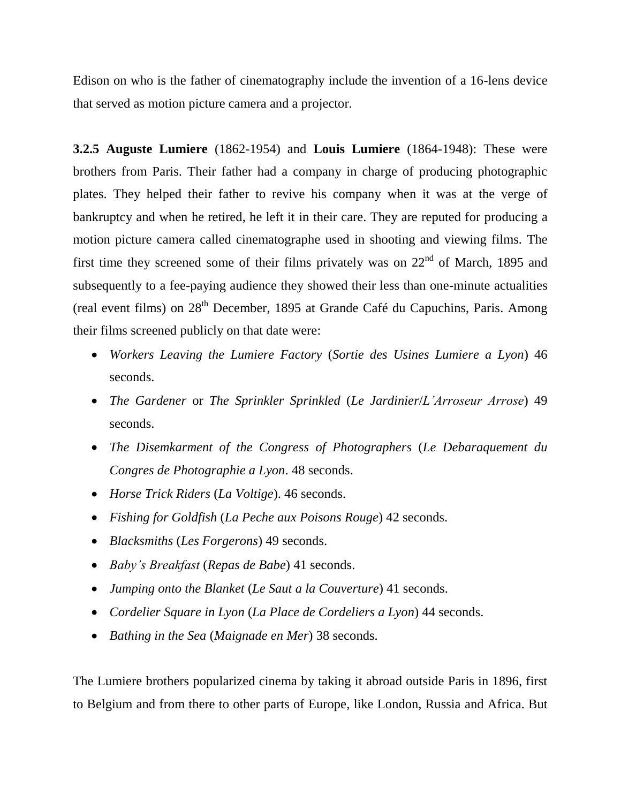Edison on who is the father of cinematography include the invention of a 16-lens device that served as motion picture camera and a projector.

**3.2.5 Auguste Lumiere** (1862-1954) and **Louis Lumiere** (1864-1948): These were brothers from Paris. Their father had a company in charge of producing photographic plates. They helped their father to revive his company when it was at the verge of bankruptcy and when he retired, he left it in their care. They are reputed for producing a motion picture camera called cinematographe used in shooting and viewing films. The first time they screened some of their films privately was on  $22<sup>nd</sup>$  of March, 1895 and subsequently to a fee-paying audience they showed their less than one-minute actualities (real event films) on  $28<sup>th</sup>$  December, 1895 at Grande Café du Capuchins, Paris. Among their films screened publicly on that date were:

- *Workers Leaving the Lumiere Factory* (*Sortie des Usines Lumiere a Lyon*) 46 seconds.
- *The Gardener* or *The Sprinkler Sprinkled* (*Le Jardinier*/*L'Arroseur Arrose*) 49 seconds.
- *The Disemkarment of the Congress of Photographers* (*Le Debaraquement du Congres de Photographie a Lyon*. 48 seconds.
- *Horse Trick Riders* (*La Voltige*). 46 seconds.
- *Fishing for Goldfish* (*La Peche aux Poisons Rouge*) 42 seconds.
- *Blacksmiths* (*Les Forgerons*) 49 seconds.
- *Baby's Breakfast* (*Repas de Babe*) 41 seconds.
- *Jumping onto the Blanket* (*Le Saut a la Couverture*) 41 seconds.
- *Cordelier Square in Lyon* (*La Place de Cordeliers a Lyon*) 44 seconds.
- *Bathing in the Sea* (*Maignade en Mer*) 38 seconds.

The Lumiere brothers popularized cinema by taking it abroad outside Paris in 1896, first to Belgium and from there to other parts of Europe, like London, Russia and Africa. But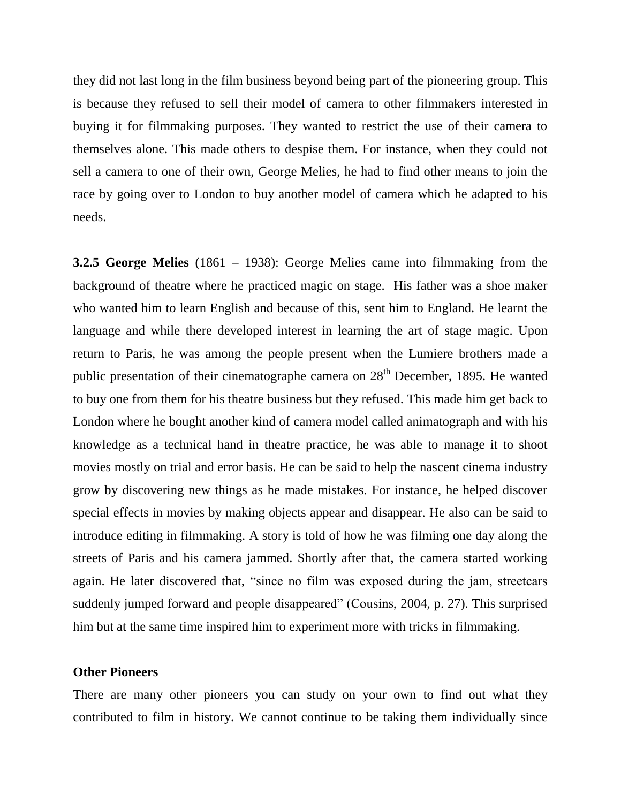they did not last long in the film business beyond being part of the pioneering group. This is because they refused to sell their model of camera to other filmmakers interested in buying it for filmmaking purposes. They wanted to restrict the use of their camera to themselves alone. This made others to despise them. For instance, when they could not sell a camera to one of their own, George Melies, he had to find other means to join the race by going over to London to buy another model of camera which he adapted to his needs.

**3.2.5 George Melies** (1861 – 1938): George Melies came into filmmaking from the background of theatre where he practiced magic on stage. His father was a shoe maker who wanted him to learn English and because of this, sent him to England. He learnt the language and while there developed interest in learning the art of stage magic. Upon return to Paris, he was among the people present when the Lumiere brothers made a public presentation of their cinematographe camera on  $28<sup>th</sup>$  December, 1895. He wanted to buy one from them for his theatre business but they refused. This made him get back to London where he bought another kind of camera model called animatograph and with his knowledge as a technical hand in theatre practice, he was able to manage it to shoot movies mostly on trial and error basis. He can be said to help the nascent cinema industry grow by discovering new things as he made mistakes. For instance, he helped discover special effects in movies by making objects appear and disappear. He also can be said to introduce editing in filmmaking. A story is told of how he was filming one day along the streets of Paris and his camera jammed. Shortly after that, the camera started working again. He later discovered that, "since no film was exposed during the jam, streetcars suddenly jumped forward and people disappeared" (Cousins, 2004, p. 27). This surprised him but at the same time inspired him to experiment more with tricks in filmmaking.

#### **Other Pioneers**

There are many other pioneers you can study on your own to find out what they contributed to film in history. We cannot continue to be taking them individually since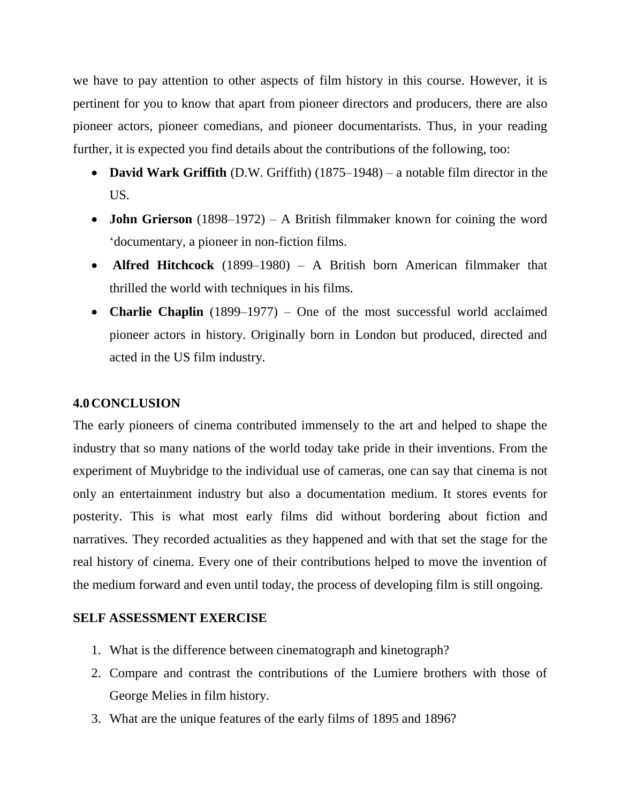we have to pay attention to other aspects of film history in this course. However, it is pertinent for you to know that apart from pioneer directors and producers, there are also pioneer actors, pioneer comedians, and pioneer documentarists. Thus, in your reading further, it is expected you find details about the contributions of the following, too:

- **David Wark Griffith** (D.W. Griffith) (1875–1948) a notable film director in the US.
- **John Grierson** (1898–1972) A British filmmaker known for coining the word "documentary, a pioneer in non-fiction films.
- **Alfred Hitchcock** (1899–1980) A British born American filmmaker that thrilled the world with techniques in his films.
- **Charlie Chaplin** (1899–1977) One of the most successful world acclaimed pioneer actors in history. Originally born in London but produced, directed and acted in the US film industry.

# **4.0CONCLUSION**

The early pioneers of cinema contributed immensely to the art and helped to shape the industry that so many nations of the world today take pride in their inventions. From the experiment of Muybridge to the individual use of cameras, one can say that cinema is not only an entertainment industry but also a documentation medium. It stores events for posterity. This is what most early films did without bordering about fiction and narratives. They recorded actualities as they happened and with that set the stage for the real history of cinema. Every one of their contributions helped to move the invention of the medium forward and even until today, the process of developing film is still ongoing.

# **SELF ASSESSMENT EXERCISE**

- 1. What is the difference between cinematograph and kinetograph?
- 2. Compare and contrast the contributions of the Lumiere brothers with those of George Melies in film history.
- 3. What are the unique features of the early films of 1895 and 1896?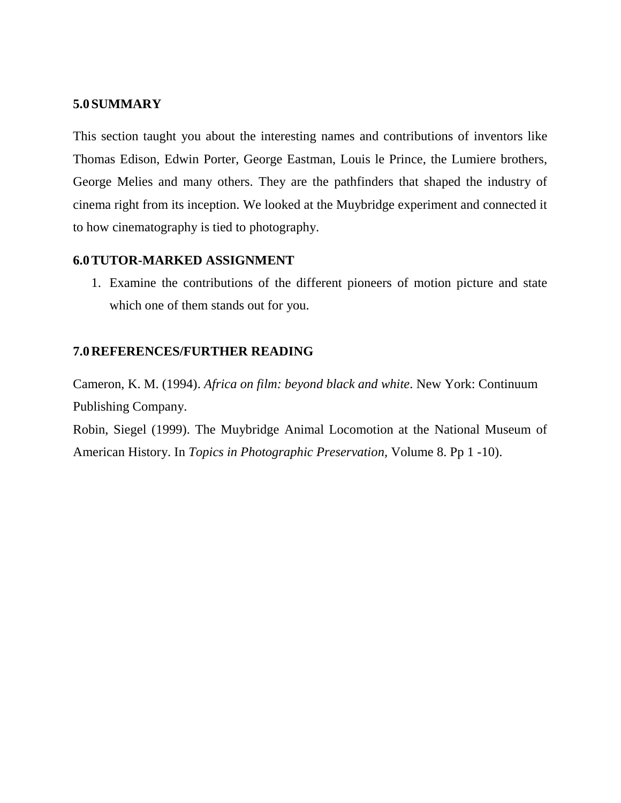#### **5.0SUMMARY**

This section taught you about the interesting names and contributions of inventors like Thomas Edison, Edwin Porter, George Eastman, Louis le Prince, the Lumiere brothers, George Melies and many others. They are the pathfinders that shaped the industry of cinema right from its inception. We looked at the Muybridge experiment and connected it to how cinematography is tied to photography.

### **6.0TUTOR-MARKED ASSIGNMENT**

1. Examine the contributions of the different pioneers of motion picture and state which one of them stands out for you.

### **7.0REFERENCES/FURTHER READING**

Cameron, K. M. (1994). *Africa on film: beyond black and white*. New York: Continuum Publishing Company.

Robin, Siegel (1999). The Muybridge Animal Locomotion at the National Museum of American History. In *Topics in Photographic Preservation,* Volume 8. Pp 1 -10).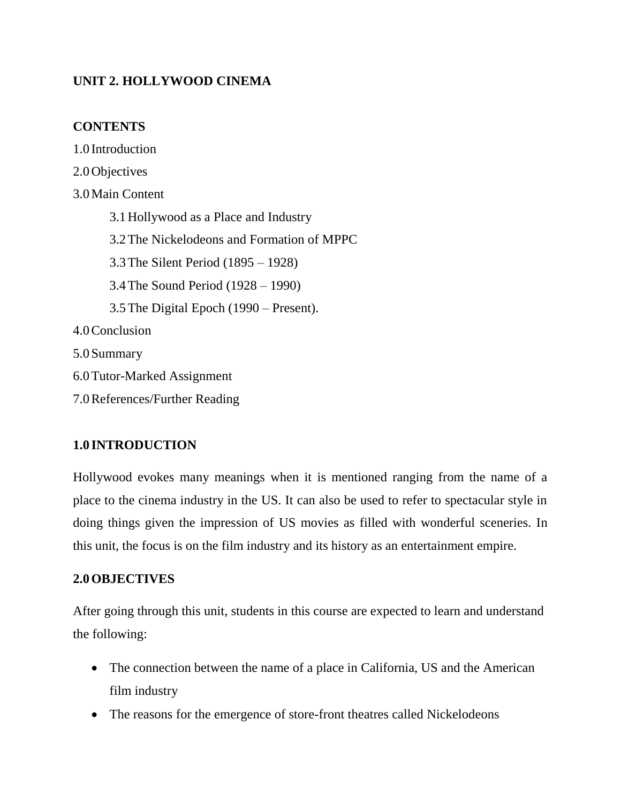# **UNIT 2. HOLLYWOOD CINEMA**

# **CONTENTS**

1.0 Introduction 2.0Objectives 3.0Main Content 3.1Hollywood as a Place and Industry 3.2The Nickelodeons and Formation of MPPC 3.3The Silent Period (1895 – 1928) 3.4The Sound Period (1928 – 1990) 3.5The Digital Epoch (1990 – Present). 4.0Conclusion 5.0Summary 6.0Tutor-Marked Assignment 7.0References/Further Reading

# **1.0 INTRODUCTION**

Hollywood evokes many meanings when it is mentioned ranging from the name of a place to the cinema industry in the US. It can also be used to refer to spectacular style in doing things given the impression of US movies as filled with wonderful sceneries. In this unit, the focus is on the film industry and its history as an entertainment empire.

# **2.0OBJECTIVES**

After going through this unit, students in this course are expected to learn and understand the following:

- The connection between the name of a place in California, US and the American film industry
- The reasons for the emergence of store-front theatres called Nickelodeons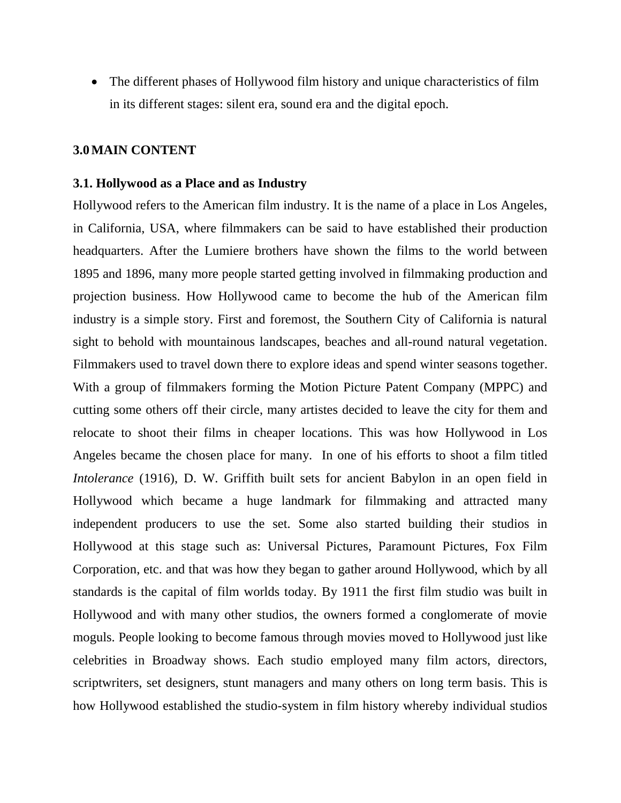The different phases of Hollywood film history and unique characteristics of film in its different stages: silent era, sound era and the digital epoch.

#### **3.0MAIN CONTENT**

#### **3.1. Hollywood as a Place and as Industry**

Hollywood refers to the American film industry. It is the name of a place in Los Angeles, in California, USA, where filmmakers can be said to have established their production headquarters. After the Lumiere brothers have shown the films to the world between 1895 and 1896, many more people started getting involved in filmmaking production and projection business. How Hollywood came to become the hub of the American film industry is a simple story. First and foremost, the Southern City of California is natural sight to behold with mountainous landscapes, beaches and all-round natural vegetation. Filmmakers used to travel down there to explore ideas and spend winter seasons together. With a group of filmmakers forming the Motion Picture Patent Company (MPPC) and cutting some others off their circle, many artistes decided to leave the city for them and relocate to shoot their films in cheaper locations. This was how Hollywood in Los Angeles became the chosen place for many. In one of his efforts to shoot a film titled *Intolerance* (1916), D. W. Griffith built sets for ancient Babylon in an open field in Hollywood which became a huge landmark for filmmaking and attracted many independent producers to use the set. Some also started building their studios in Hollywood at this stage such as: Universal Pictures, Paramount Pictures, Fox Film Corporation, etc. and that was how they began to gather around Hollywood, which by all standards is the capital of film worlds today. By 1911 the first film studio was built in Hollywood and with many other studios, the owners formed a conglomerate of movie moguls. People looking to become famous through movies moved to Hollywood just like celebrities in Broadway shows. Each studio employed many film actors, directors, scriptwriters, set designers, stunt managers and many others on long term basis. This is how Hollywood established the studio-system in film history whereby individual studios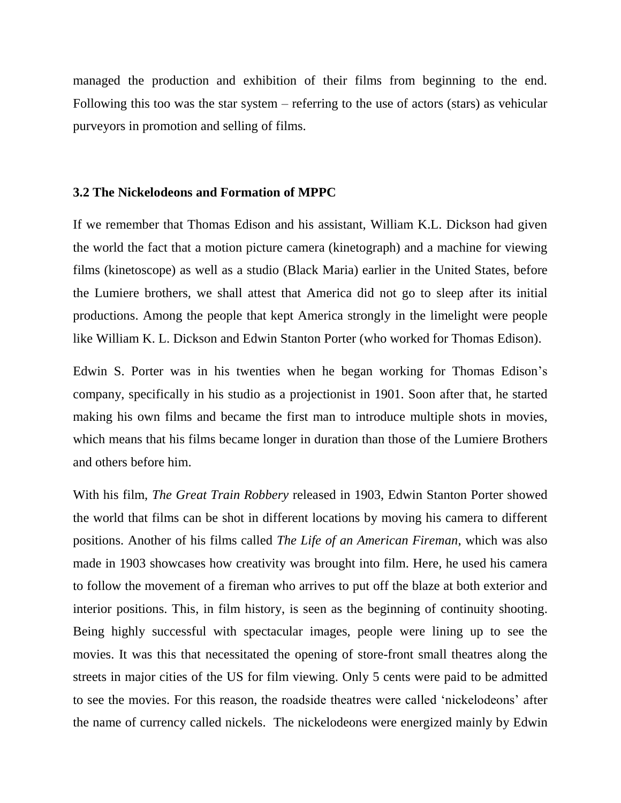managed the production and exhibition of their films from beginning to the end. Following this too was the star system – referring to the use of actors (stars) as vehicular purveyors in promotion and selling of films.

#### **3.2 The Nickelodeons and Formation of MPPC**

If we remember that Thomas Edison and his assistant, William K.L. Dickson had given the world the fact that a motion picture camera (kinetograph) and a machine for viewing films (kinetoscope) as well as a studio (Black Maria) earlier in the United States, before the Lumiere brothers, we shall attest that America did not go to sleep after its initial productions. Among the people that kept America strongly in the limelight were people like William K. L. Dickson and Edwin Stanton Porter (who worked for Thomas Edison).

Edwin S. Porter was in his twenties when he began working for Thomas Edison"s company, specifically in his studio as a projectionist in 1901. Soon after that, he started making his own films and became the first man to introduce multiple shots in movies, which means that his films became longer in duration than those of the Lumiere Brothers and others before him.

With his film, *The Great Train Robbery* released in 1903, Edwin Stanton Porter showed the world that films can be shot in different locations by moving his camera to different positions. Another of his films called *The Life of an American Fireman*, which was also made in 1903 showcases how creativity was brought into film. Here, he used his camera to follow the movement of a fireman who arrives to put off the blaze at both exterior and interior positions. This, in film history, is seen as the beginning of continuity shooting. Being highly successful with spectacular images, people were lining up to see the movies. It was this that necessitated the opening of store-front small theatres along the streets in major cities of the US for film viewing. Only 5 cents were paid to be admitted to see the movies. For this reason, the roadside theatres were called "nickelodeons" after the name of currency called nickels. The nickelodeons were energized mainly by Edwin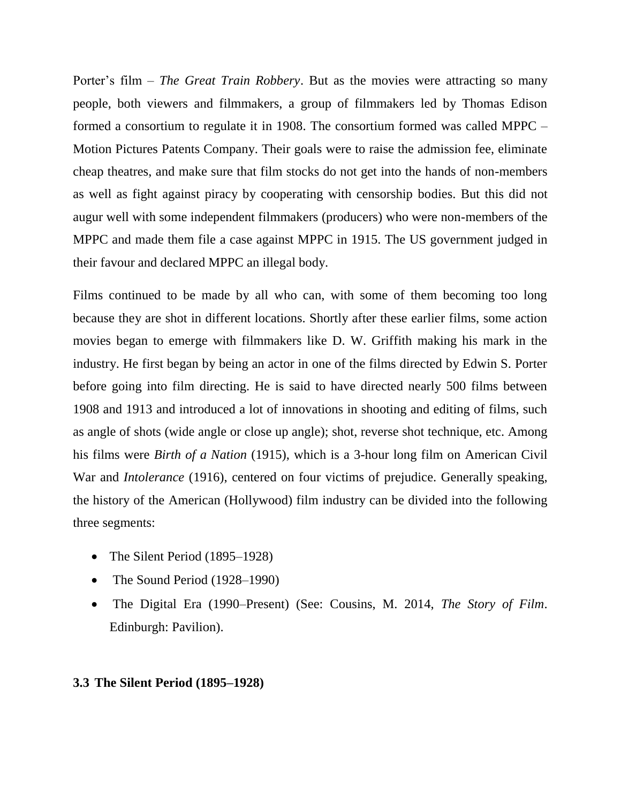Porter's film – *The Great Train Robbery*. But as the movies were attracting so many people, both viewers and filmmakers, a group of filmmakers led by Thomas Edison formed a consortium to regulate it in 1908. The consortium formed was called MPPC – Motion Pictures Patents Company. Their goals were to raise the admission fee, eliminate cheap theatres, and make sure that film stocks do not get into the hands of non-members as well as fight against piracy by cooperating with censorship bodies. But this did not augur well with some independent filmmakers (producers) who were non-members of the MPPC and made them file a case against MPPC in 1915. The US government judged in their favour and declared MPPC an illegal body.

Films continued to be made by all who can, with some of them becoming too long because they are shot in different locations. Shortly after these earlier films, some action movies began to emerge with filmmakers like D. W. Griffith making his mark in the industry. He first began by being an actor in one of the films directed by Edwin S. Porter before going into film directing. He is said to have directed nearly 500 films between 1908 and 1913 and introduced a lot of innovations in shooting and editing of films, such as angle of shots (wide angle or close up angle); shot, reverse shot technique, etc. Among his films were *Birth of a Nation* (1915), which is a 3-hour long film on American Civil War and *Intolerance* (1916), centered on four victims of prejudice. Generally speaking, the history of the American (Hollywood) film industry can be divided into the following three segments:

- The Silent Period (1895–1928)
- The Sound Period (1928–1990)
- The Digital Era (1990–Present) (See: Cousins, M. 2014, *The Story of Film*. Edinburgh: Pavilion).

#### **3.3 The Silent Period (1895–1928)**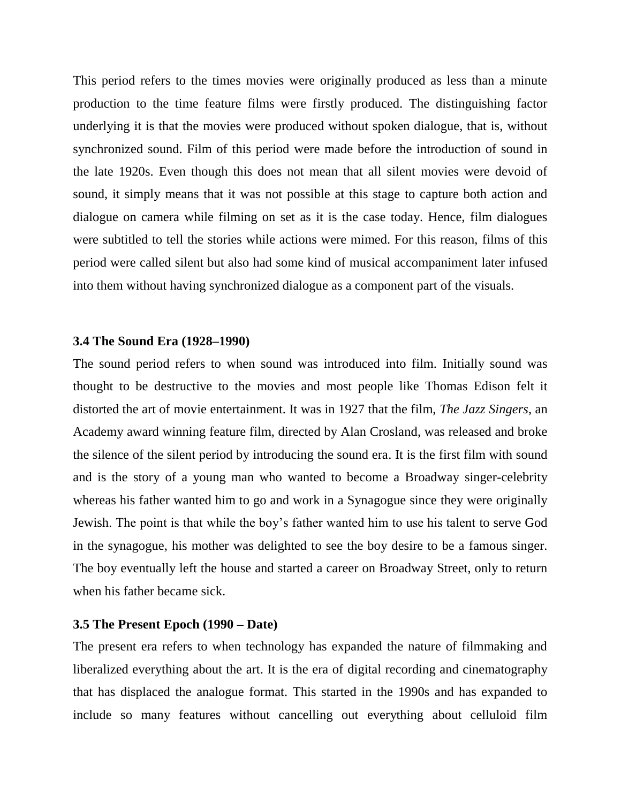This period refers to the times movies were originally produced as less than a minute production to the time feature films were firstly produced. The distinguishing factor underlying it is that the movies were produced without spoken dialogue, that is, without synchronized sound. Film of this period were made before the introduction of sound in the late 1920s. Even though this does not mean that all silent movies were devoid of sound, it simply means that it was not possible at this stage to capture both action and dialogue on camera while filming on set as it is the case today. Hence, film dialogues were subtitled to tell the stories while actions were mimed. For this reason, films of this period were called silent but also had some kind of musical accompaniment later infused into them without having synchronized dialogue as a component part of the visuals.

#### **3.4 The Sound Era (1928–1990)**

The sound period refers to when sound was introduced into film. Initially sound was thought to be destructive to the movies and most people like Thomas Edison felt it distorted the art of movie entertainment. It was in 1927 that the film, *The Jazz Singers*, an Academy award winning feature film, directed by Alan Crosland, was released and broke the silence of the silent period by introducing the sound era. It is the first film with sound and is the story of a young man who wanted to become a Broadway singer-celebrity whereas his father wanted him to go and work in a Synagogue since they were originally Jewish. The point is that while the boy"s father wanted him to use his talent to serve God in the synagogue, his mother was delighted to see the boy desire to be a famous singer. The boy eventually left the house and started a career on Broadway Street, only to return when his father became sick.

#### **3.5 The Present Epoch (1990 – Date)**

The present era refers to when technology has expanded the nature of filmmaking and liberalized everything about the art. It is the era of digital recording and cinematography that has displaced the analogue format. This started in the 1990s and has expanded to include so many features without cancelling out everything about celluloid film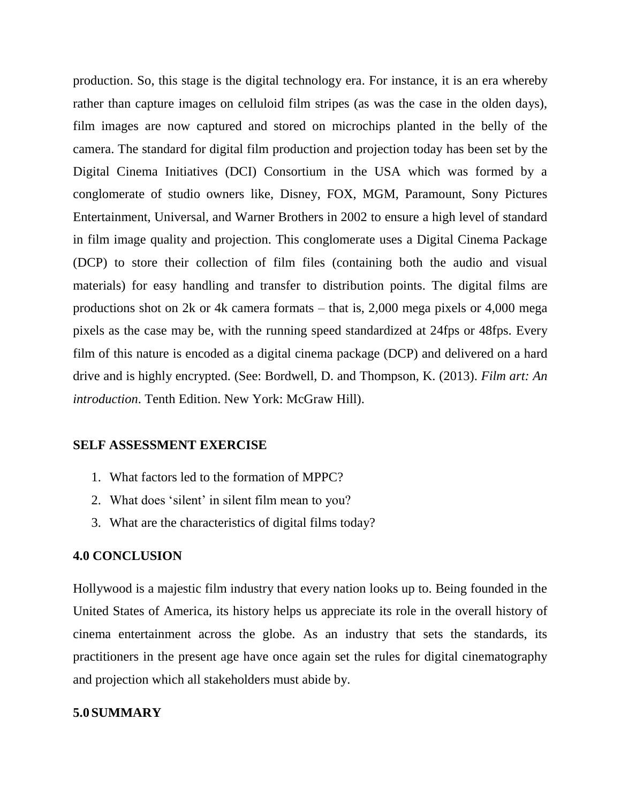production. So, this stage is the digital technology era. For instance, it is an era whereby rather than capture images on celluloid film stripes (as was the case in the olden days), film images are now captured and stored on microchips planted in the belly of the camera. The standard for digital film production and projection today has been set by the Digital Cinema Initiatives (DCI) Consortium in the USA which was formed by a conglomerate of studio owners like, Disney, FOX, MGM, Paramount, Sony Pictures Entertainment, Universal, and Warner Brothers in 2002 to ensure a high level of standard in film image quality and projection. This conglomerate uses a Digital Cinema Package (DCP) to store their collection of film files (containing both the audio and visual materials) for easy handling and transfer to distribution points. The digital films are productions shot on 2k or 4k camera formats – that is, 2,000 mega pixels or 4,000 mega pixels as the case may be, with the running speed standardized at 24fps or 48fps. Every film of this nature is encoded as a digital cinema package (DCP) and delivered on a hard drive and is highly encrypted. (See: Bordwell, D. and Thompson, K. (2013). *Film art: An introduction*. Tenth Edition. New York: McGraw Hill).

#### **SELF ASSESSMENT EXERCISE**

- 1. What factors led to the formation of MPPC?
- 2. What does "silent" in silent film mean to you?
- 3. What are the characteristics of digital films today?

#### **4.0 CONCLUSION**

Hollywood is a majestic film industry that every nation looks up to. Being founded in the United States of America, its history helps us appreciate its role in the overall history of cinema entertainment across the globe. As an industry that sets the standards, its practitioners in the present age have once again set the rules for digital cinematography and projection which all stakeholders must abide by.

#### **5.0SUMMARY**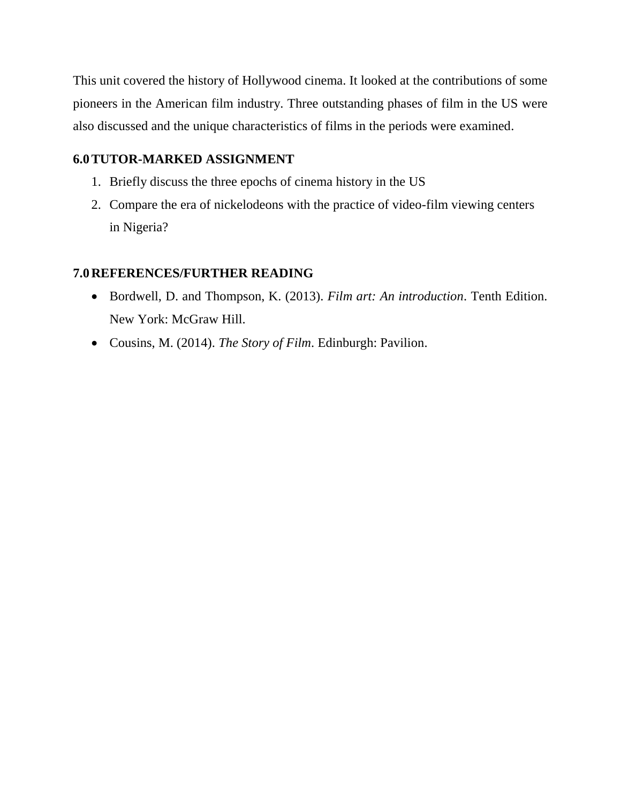This unit covered the history of Hollywood cinema. It looked at the contributions of some pioneers in the American film industry. Three outstanding phases of film in the US were also discussed and the unique characteristics of films in the periods were examined.

### **6.0TUTOR-MARKED ASSIGNMENT**

- 1. Briefly discuss the three epochs of cinema history in the US
- 2. Compare the era of nickelodeons with the practice of video-film viewing centers in Nigeria?

### **7.0REFERENCES/FURTHER READING**

- Bordwell, D. and Thompson, K. (2013). *Film art: An introduction*. Tenth Edition. New York: McGraw Hill.
- Cousins, M. (2014). *The Story of Film*. Edinburgh: Pavilion.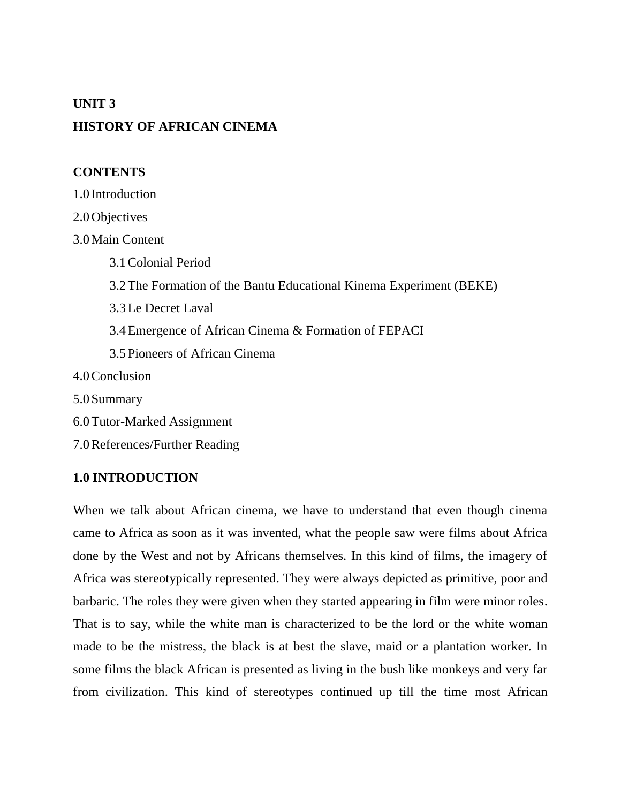#### **UNIT 3**

# **HISTORY OF AFRICAN CINEMA**

#### **CONTENTS**

1.0 Introduction

2.0Objectives

3.0Main Content

3.1Colonial Period 3.2The Formation of the Bantu Educational Kinema Experiment (BEKE) 3.3Le Decret Laval 3.4Emergence of African Cinema & Formation of FEPACI 3.5Pioneers of African Cinema 4.0Conclusion 5.0Summary 6.0Tutor-Marked Assignment

7.0References/Further Reading

#### **1.0 INTRODUCTION**

When we talk about African cinema, we have to understand that even though cinema came to Africa as soon as it was invented, what the people saw were films about Africa done by the West and not by Africans themselves. In this kind of films, the imagery of Africa was stereotypically represented. They were always depicted as primitive, poor and barbaric. The roles they were given when they started appearing in film were minor roles. That is to say, while the white man is characterized to be the lord or the white woman made to be the mistress, the black is at best the slave, maid or a plantation worker. In some films the black African is presented as living in the bush like monkeys and very far from civilization. This kind of stereotypes continued up till the time most African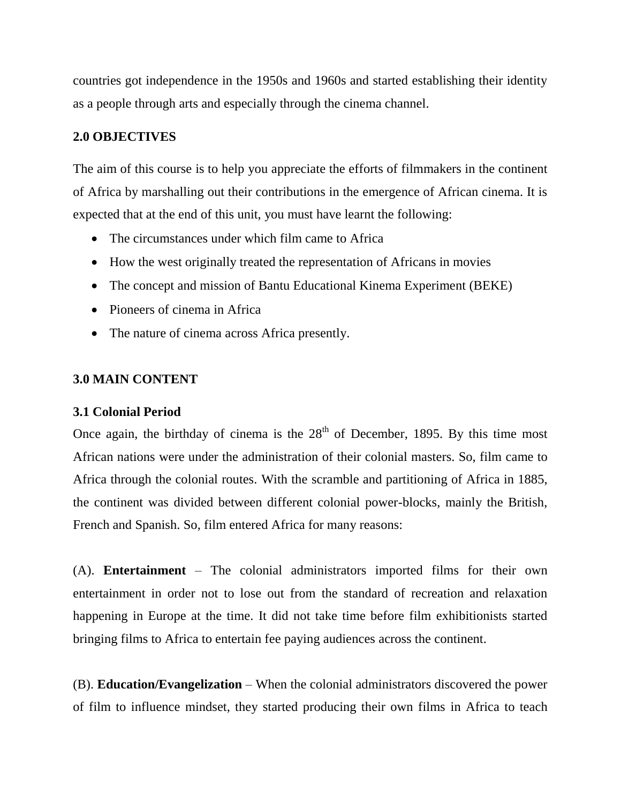countries got independence in the 1950s and 1960s and started establishing their identity as a people through arts and especially through the cinema channel.

### **2.0 OBJECTIVES**

The aim of this course is to help you appreciate the efforts of filmmakers in the continent of Africa by marshalling out their contributions in the emergence of African cinema. It is expected that at the end of this unit, you must have learnt the following:

- The circumstances under which film came to Africa
- How the west originally treated the representation of Africans in movies
- The concept and mission of Bantu Educational Kinema Experiment (BEKE)
- Pioneers of cinema in Africa
- The nature of cinema across Africa presently.

# **3.0 MAIN CONTENT**

#### **3.1 Colonial Period**

Once again, the birthday of cinema is the  $28<sup>th</sup>$  of December, 1895. By this time most African nations were under the administration of their colonial masters. So, film came to Africa through the colonial routes. With the scramble and partitioning of Africa in 1885, the continent was divided between different colonial power-blocks, mainly the British, French and Spanish. So, film entered Africa for many reasons:

(A). **Entertainment** – The colonial administrators imported films for their own entertainment in order not to lose out from the standard of recreation and relaxation happening in Europe at the time. It did not take time before film exhibitionists started bringing films to Africa to entertain fee paying audiences across the continent.

(B). **Education/Evangelization** – When the colonial administrators discovered the power of film to influence mindset, they started producing their own films in Africa to teach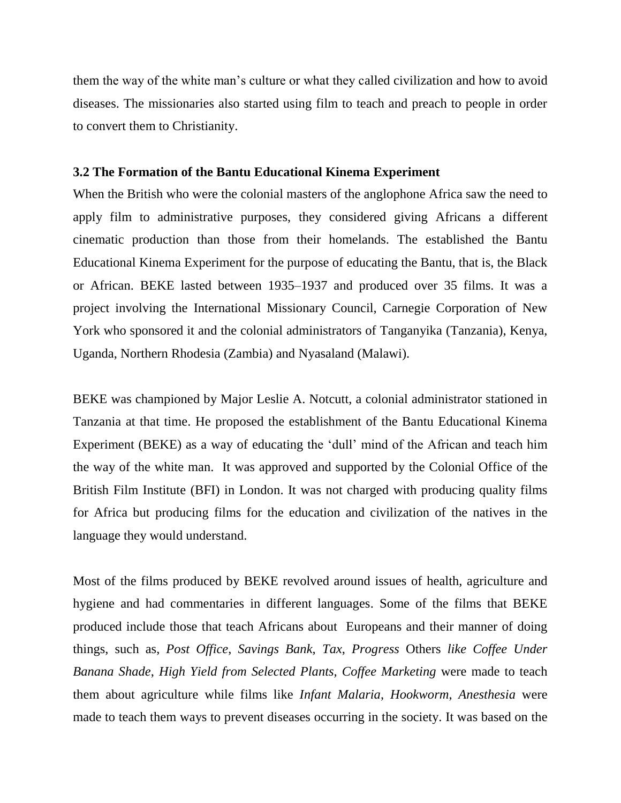them the way of the white man"s culture or what they called civilization and how to avoid diseases. The missionaries also started using film to teach and preach to people in order to convert them to Christianity.

#### **3.2 The Formation of the Bantu Educational Kinema Experiment**

When the British who were the colonial masters of the anglophone Africa saw the need to apply film to administrative purposes, they considered giving Africans a different cinematic production than those from their homelands. The established the Bantu Educational Kinema Experiment for the purpose of educating the Bantu, that is, the Black or African. BEKE lasted between 1935–1937 and produced over 35 films. It was a project involving the International Missionary Council, Carnegie Corporation of New York who sponsored it and the colonial administrators of Tanganyika (Tanzania), Kenya, Uganda, Northern Rhodesia (Zambia) and Nyasaland (Malawi).

BEKE was championed by Major Leslie A. Notcutt, a colonial administrator stationed in Tanzania at that time. He proposed the establishment of the Bantu Educational Kinema Experiment (BEKE) as a way of educating the "dull" mind of the African and teach him the way of the white man. It was approved and supported by the Colonial Office of the British Film Institute (BFI) in London. It was not charged with producing quality films for Africa but producing films for the education and civilization of the natives in the language they would understand.

Most of the films produced by BEKE revolved around issues of health, agriculture and hygiene and had commentaries in different languages. Some of the films that BEKE produced include those that teach Africans about Europeans and their manner of doing things, such as, *Post Office*, *Savings Bank*, *Tax*, *Progress* Others *like Coffee Under Banana Shade*, *High Yield from Selected Plants, Coffee Marketing* were made to teach them about agriculture while films like *Infant Malaria*, *Hookworm*, *Anesthesia* were made to teach them ways to prevent diseases occurring in the society. It was based on the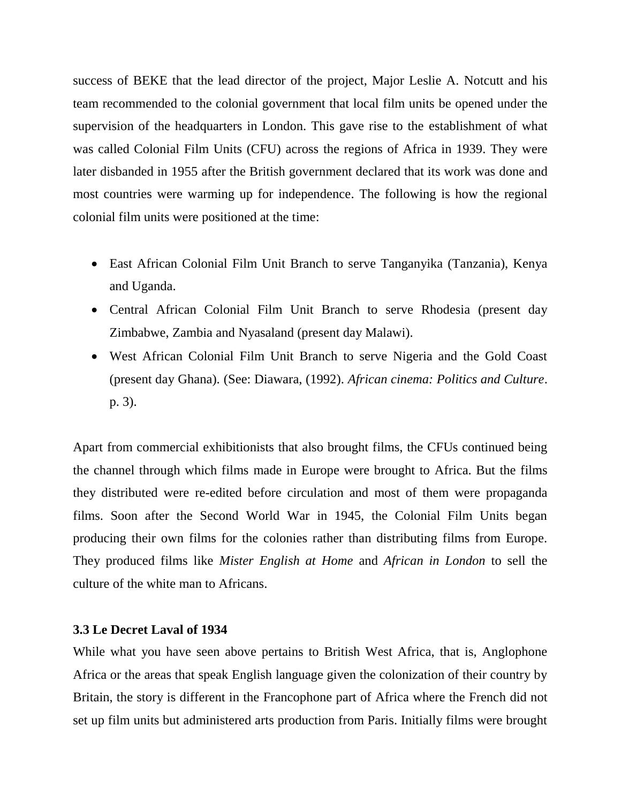success of BEKE that the lead director of the project, Major Leslie A. Notcutt and his team recommended to the colonial government that local film units be opened under the supervision of the headquarters in London. This gave rise to the establishment of what was called Colonial Film Units (CFU) across the regions of Africa in 1939. They were later disbanded in 1955 after the British government declared that its work was done and most countries were warming up for independence. The following is how the regional colonial film units were positioned at the time:

- East African Colonial Film Unit Branch to serve Tanganyika (Tanzania), Kenya and Uganda.
- Central African Colonial Film Unit Branch to serve Rhodesia (present day Zimbabwe, Zambia and Nyasaland (present day Malawi).
- West African Colonial Film Unit Branch to serve Nigeria and the Gold Coast (present day Ghana). (See: Diawara, (1992). *African cinema: Politics and Culture*. p. 3).

Apart from commercial exhibitionists that also brought films, the CFUs continued being the channel through which films made in Europe were brought to Africa. But the films they distributed were re-edited before circulation and most of them were propaganda films. Soon after the Second World War in 1945, the Colonial Film Units began producing their own films for the colonies rather than distributing films from Europe. They produced films like *Mister English at Home* and *African in London* to sell the culture of the white man to Africans.

#### **3.3 Le Decret Laval of 1934**

While what you have seen above pertains to British West Africa, that is, Anglophone Africa or the areas that speak English language given the colonization of their country by Britain, the story is different in the Francophone part of Africa where the French did not set up film units but administered arts production from Paris. Initially films were brought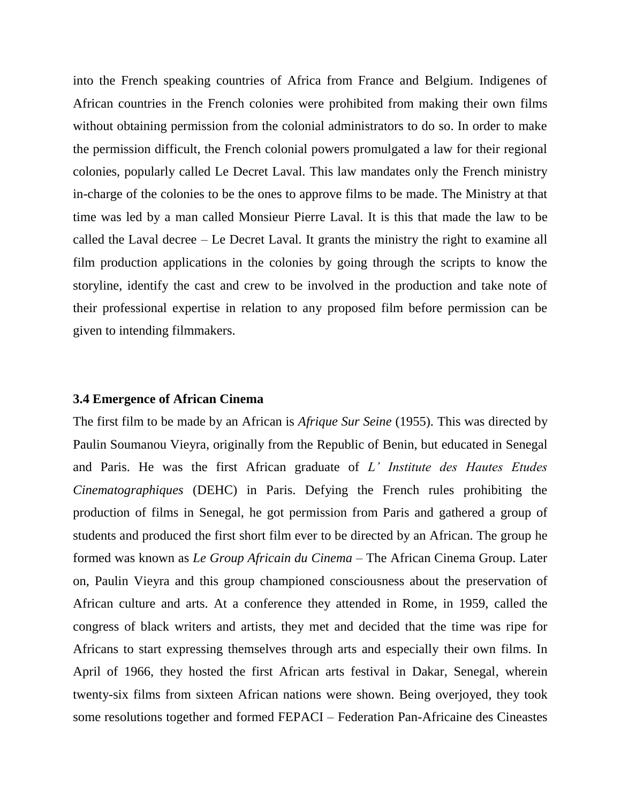into the French speaking countries of Africa from France and Belgium. Indigenes of African countries in the French colonies were prohibited from making their own films without obtaining permission from the colonial administrators to do so. In order to make the permission difficult, the French colonial powers promulgated a law for their regional colonies, popularly called Le Decret Laval. This law mandates only the French ministry in-charge of the colonies to be the ones to approve films to be made. The Ministry at that time was led by a man called Monsieur Pierre Laval. It is this that made the law to be called the Laval decree – Le Decret Laval. It grants the ministry the right to examine all film production applications in the colonies by going through the scripts to know the storyline, identify the cast and crew to be involved in the production and take note of their professional expertise in relation to any proposed film before permission can be given to intending filmmakers.

#### **3.4 Emergence of African Cinema**

The first film to be made by an African is *Afrique Sur Seine* (1955). This was directed by Paulin Soumanou Vieyra, originally from the Republic of Benin, but educated in Senegal and Paris. He was the first African graduate of *L' Institute des Hautes Etudes Cinematographiques* (DEHC) in Paris. Defying the French rules prohibiting the production of films in Senegal, he got permission from Paris and gathered a group of students and produced the first short film ever to be directed by an African. The group he formed was known as *Le Group Africain du Cinema* – The African Cinema Group. Later on, Paulin Vieyra and this group championed consciousness about the preservation of African culture and arts. At a conference they attended in Rome, in 1959, called the congress of black writers and artists, they met and decided that the time was ripe for Africans to start expressing themselves through arts and especially their own films. In April of 1966, they hosted the first African arts festival in Dakar, Senegal, wherein twenty-six films from sixteen African nations were shown. Being overjoyed, they took some resolutions together and formed FEPACI – Federation Pan-Africaine des Cineastes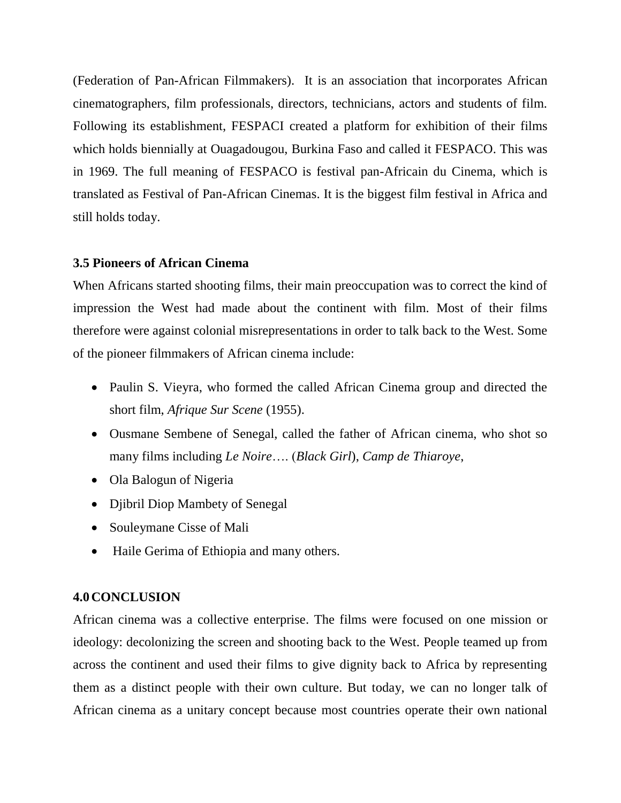(Federation of Pan-African Filmmakers). It is an association that incorporates African cinematographers, film professionals, directors, technicians, actors and students of film. Following its establishment, FESPACI created a platform for exhibition of their films which holds biennially at Ouagadougou, Burkina Faso and called it FESPACO. This was in 1969. The full meaning of FESPACO is festival pan-Africain du Cinema, which is translated as Festival of Pan-African Cinemas. It is the biggest film festival in Africa and still holds today.

#### **3.5 Pioneers of African Cinema**

When Africans started shooting films, their main preoccupation was to correct the kind of impression the West had made about the continent with film. Most of their films therefore were against colonial misrepresentations in order to talk back to the West. Some of the pioneer filmmakers of African cinema include:

- Paulin S. Vieyra, who formed the called African Cinema group and directed the short film, *Afrique Sur Scene* (1955).
- Ousmane Sembene of Senegal, called the father of African cinema, who shot so many films including *Le Noire*…. (*Black Girl*), *Camp de Thiaroye*,
- Ola Balogun of Nigeria
- Djibril Diop Mambety of Senegal
- Souleymane Cisse of Mali
- Haile Gerima of Ethiopia and many others.

# **4.0CONCLUSION**

African cinema was a collective enterprise. The films were focused on one mission or ideology: decolonizing the screen and shooting back to the West. People teamed up from across the continent and used their films to give dignity back to Africa by representing them as a distinct people with their own culture. But today, we can no longer talk of African cinema as a unitary concept because most countries operate their own national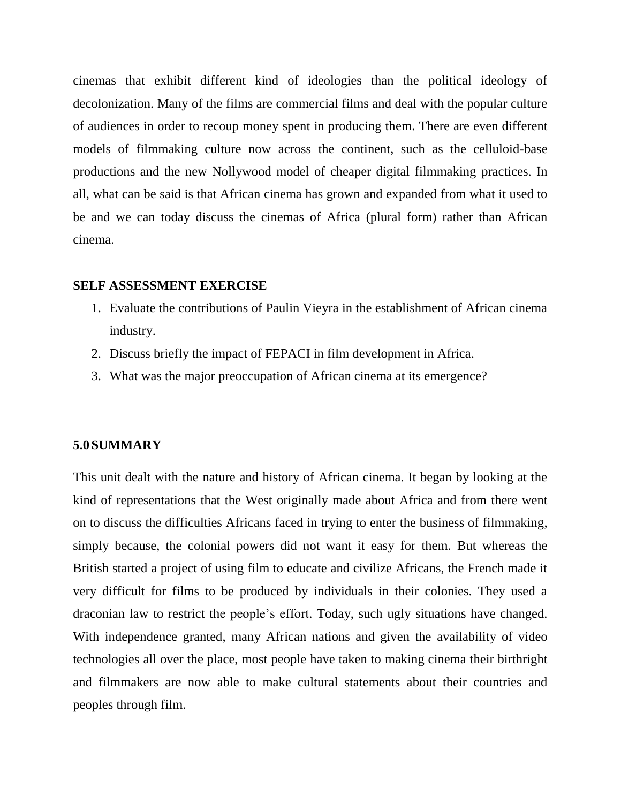cinemas that exhibit different kind of ideologies than the political ideology of decolonization. Many of the films are commercial films and deal with the popular culture of audiences in order to recoup money spent in producing them. There are even different models of filmmaking culture now across the continent, such as the celluloid-base productions and the new Nollywood model of cheaper digital filmmaking practices. In all, what can be said is that African cinema has grown and expanded from what it used to be and we can today discuss the cinemas of Africa (plural form) rather than African cinema.

#### **SELF ASSESSMENT EXERCISE**

- 1. Evaluate the contributions of Paulin Vieyra in the establishment of African cinema industry.
- 2. Discuss briefly the impact of FEPACI in film development in Africa.
- 3. What was the major preoccupation of African cinema at its emergence?

#### **5.0SUMMARY**

This unit dealt with the nature and history of African cinema. It began by looking at the kind of representations that the West originally made about Africa and from there went on to discuss the difficulties Africans faced in trying to enter the business of filmmaking, simply because, the colonial powers did not want it easy for them. But whereas the British started a project of using film to educate and civilize Africans, the French made it very difficult for films to be produced by individuals in their colonies. They used a draconian law to restrict the people's effort. Today, such ugly situations have changed. With independence granted, many African nations and given the availability of video technologies all over the place, most people have taken to making cinema their birthright and filmmakers are now able to make cultural statements about their countries and peoples through film.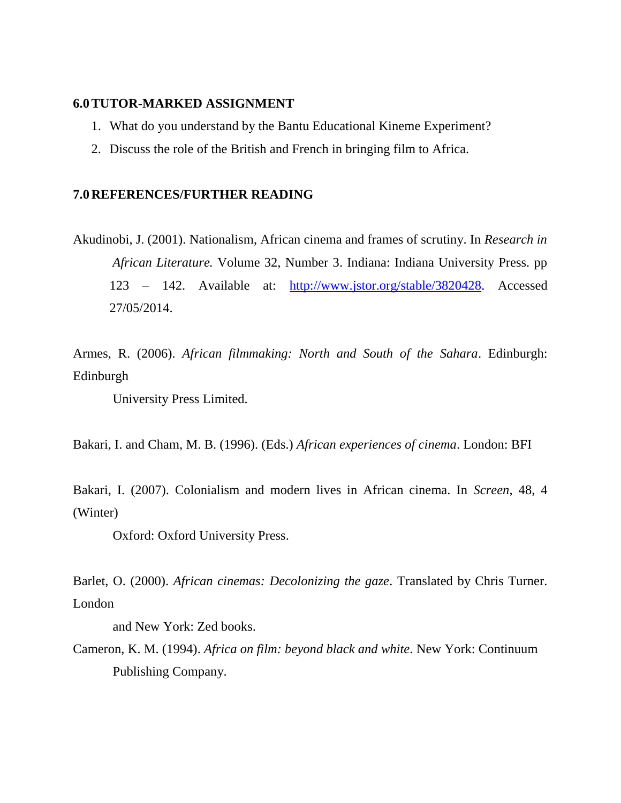#### **6.0TUTOR-MARKED ASSIGNMENT**

- 1. What do you understand by the Bantu Educational Kineme Experiment?
- 2. Discuss the role of the British and French in bringing film to Africa.

#### **7.0REFERENCES/FURTHER READING**

Akudinobi, J. (2001). Nationalism, African cinema and frames of scrutiny. In *Research in African Literature.* Volume 32, Number 3. Indiana: Indiana University Press. pp 123 – 142. Available at: [http://www.jstor.org/stable/3820428.](http://www.jstor.org/stable/3820428) Accessed 27/05/2014.

Armes, R. (2006). *African filmmaking: North and South of the Sahara*. Edinburgh: Edinburgh

University Press Limited.

Bakari, I. and Cham, M. B. (1996). (Eds.) *African experiences of cinema*. London: BFI

Bakari, I. (2007). Colonialism and modern lives in African cinema. In *Screen*, 48, 4 (Winter)

Oxford: Oxford University Press.

Barlet, O. (2000). *African cinemas: Decolonizing the gaze*. Translated by Chris Turner. London

and New York: Zed books.

Cameron, K. M. (1994). *Africa on film: beyond black and white*. New York: Continuum Publishing Company.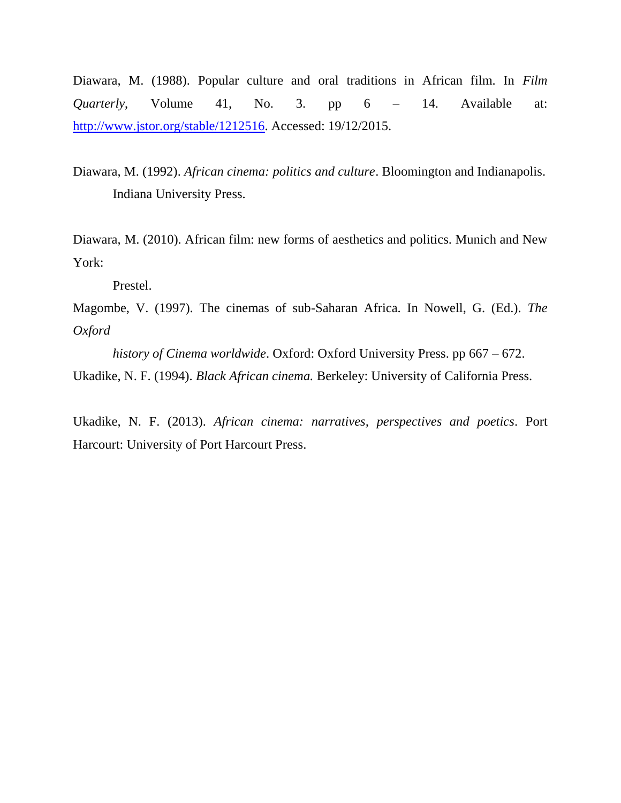Diawara, M. (1988). Popular culture and oral traditions in African film. In *Film Quarterly*, Volume 41, No. 3. pp 6 – 14. Available at: [http://www.jstor.org/stable/1212516.](http://www.jstor.org/stable/1212516) Accessed: 19/12/2015.

Diawara, M. (1992). *African cinema: politics and culture*. Bloomington and Indianapolis. Indiana University Press.

Diawara, M. (2010). African film: new forms of aesthetics and politics. Munich and New York:

Prestel.

Magombe, V. (1997). The cinemas of sub-Saharan Africa. In Nowell, G. (Ed.). *The Oxford*

*history of Cinema worldwide*. Oxford: Oxford University Press. pp 667 – 672. Ukadike, N. F. (1994). *Black African cinema.* Berkeley: University of California Press.

Ukadike, N. F. (2013). *African cinema: narratives, perspectives and poetics*. Port Harcourt: University of Port Harcourt Press.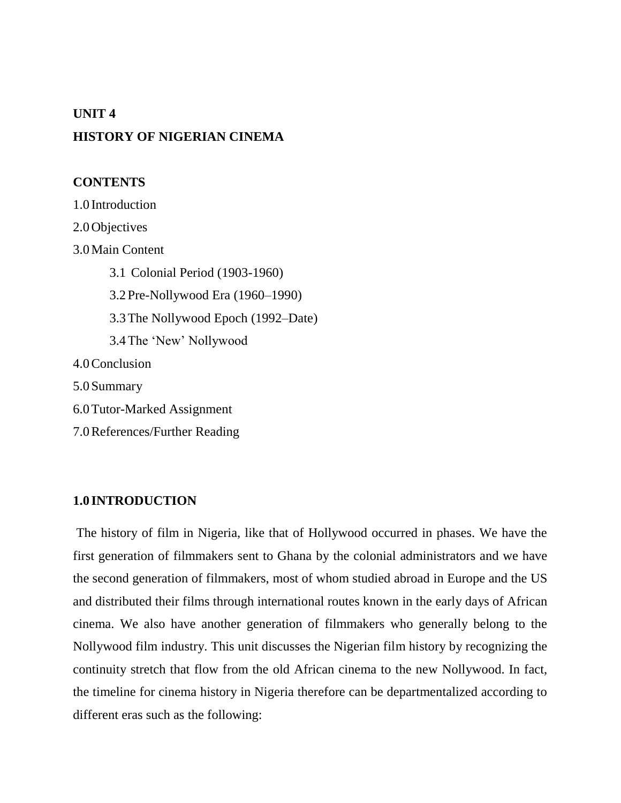# **UNIT 4 HISTORY OF NIGERIAN CINEMA**

# **CONTENTS**

1.0 Introduction 2.0Objectives 3.0Main Content 3.1 Colonial Period (1903-1960) 3.2Pre-Nollywood Era (1960–1990) 3.3The Nollywood Epoch (1992–Date) 3.4The "New" Nollywood 4.0Conclusion 5.0Summary 6.0Tutor-Marked Assignment 7.0References/Further Reading

# **1.0 INTRODUCTION**

The history of film in Nigeria, like that of Hollywood occurred in phases. We have the first generation of filmmakers sent to Ghana by the colonial administrators and we have the second generation of filmmakers, most of whom studied abroad in Europe and the US and distributed their films through international routes known in the early days of African cinema. We also have another generation of filmmakers who generally belong to the Nollywood film industry. This unit discusses the Nigerian film history by recognizing the continuity stretch that flow from the old African cinema to the new Nollywood. In fact, the timeline for cinema history in Nigeria therefore can be departmentalized according to different eras such as the following: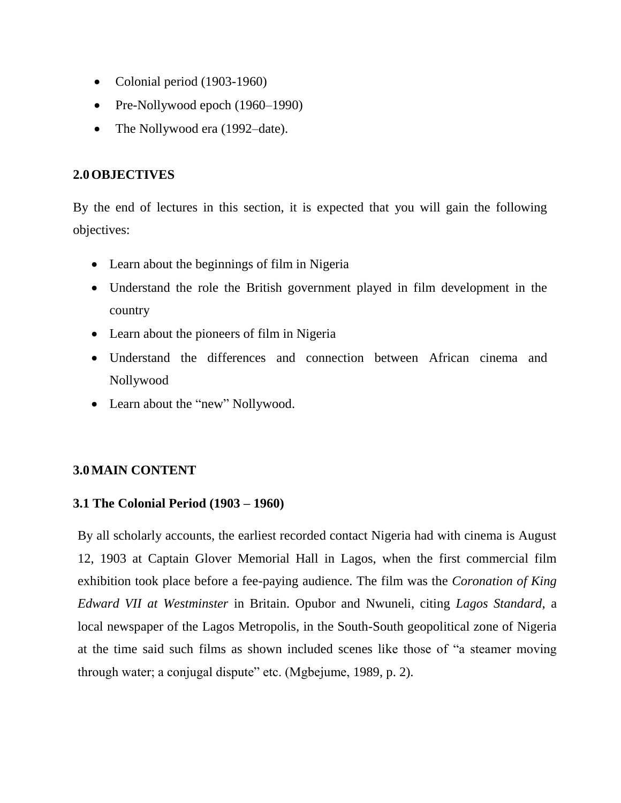- Colonial period (1903-1960)
- Pre-Nollywood epoch (1960–1990)
- The Nollywood era (1992–date).

# **2.0OBJECTIVES**

By the end of lectures in this section, it is expected that you will gain the following objectives:

- Learn about the beginnings of film in Nigeria
- Understand the role the British government played in film development in the country
- Learn about the pioneers of film in Nigeria
- Understand the differences and connection between African cinema and Nollywood
- Learn about the "new" Nollywood.

# **3.0MAIN CONTENT**

# **3.1 The Colonial Period (1903 – 1960)**

By all scholarly accounts, the earliest recorded contact Nigeria had with cinema is August 12, 1903 at Captain Glover Memorial Hall in Lagos, when the first commercial film exhibition took place before a fee-paying audience. The film was the *Coronation of King Edward VII at Westminster* in Britain. Opubor and Nwuneli, citing *Lagos Standard*, a local newspaper of the Lagos Metropolis, in the South-South geopolitical zone of Nigeria at the time said such films as shown included scenes like those of "a steamer moving through water; a conjugal dispute" etc. (Mgbejume, 1989, p. 2).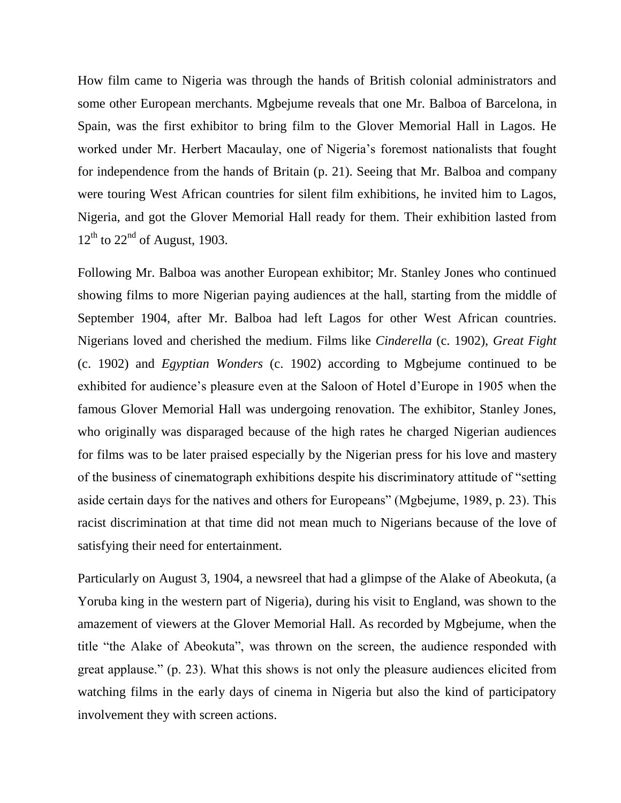How film came to Nigeria was through the hands of British colonial administrators and some other European merchants. Mgbejume reveals that one Mr. Balboa of Barcelona, in Spain, was the first exhibitor to bring film to the Glover Memorial Hall in Lagos. He worked under Mr. Herbert Macaulay, one of Nigeria"s foremost nationalists that fought for independence from the hands of Britain (p. 21). Seeing that Mr. Balboa and company were touring West African countries for silent film exhibitions, he invited him to Lagos, Nigeria, and got the Glover Memorial Hall ready for them. Their exhibition lasted from  $12^{th}$  to  $22^{nd}$  of August, 1903.

Following Mr. Balboa was another European exhibitor; Mr. Stanley Jones who continued showing films to more Nigerian paying audiences at the hall, starting from the middle of September 1904, after Mr. Balboa had left Lagos for other West African countries. Nigerians loved and cherished the medium. Films like *Cinderella* (c. 1902), *Great Fight* (c. 1902) and *Egyptian Wonders* (c. 1902) according to Mgbejume continued to be exhibited for audience's pleasure even at the Saloon of Hotel d'Europe in 1905 when the famous Glover Memorial Hall was undergoing renovation. The exhibitor, Stanley Jones, who originally was disparaged because of the high rates he charged Nigerian audiences for films was to be later praised especially by the Nigerian press for his love and mastery of the business of cinematograph exhibitions despite his discriminatory attitude of "setting aside certain days for the natives and others for Europeans" (Mgbejume, 1989, p. 23). This racist discrimination at that time did not mean much to Nigerians because of the love of satisfying their need for entertainment.

Particularly on August 3, 1904, a newsreel that had a glimpse of the Alake of Abeokuta, (a Yoruba king in the western part of Nigeria), during his visit to England, was shown to the amazement of viewers at the Glover Memorial Hall. As recorded by Mgbejume, when the title "the Alake of Abeokuta", was thrown on the screen, the audience responded with great applause." (p. 23). What this shows is not only the pleasure audiences elicited from watching films in the early days of cinema in Nigeria but also the kind of participatory involvement they with screen actions.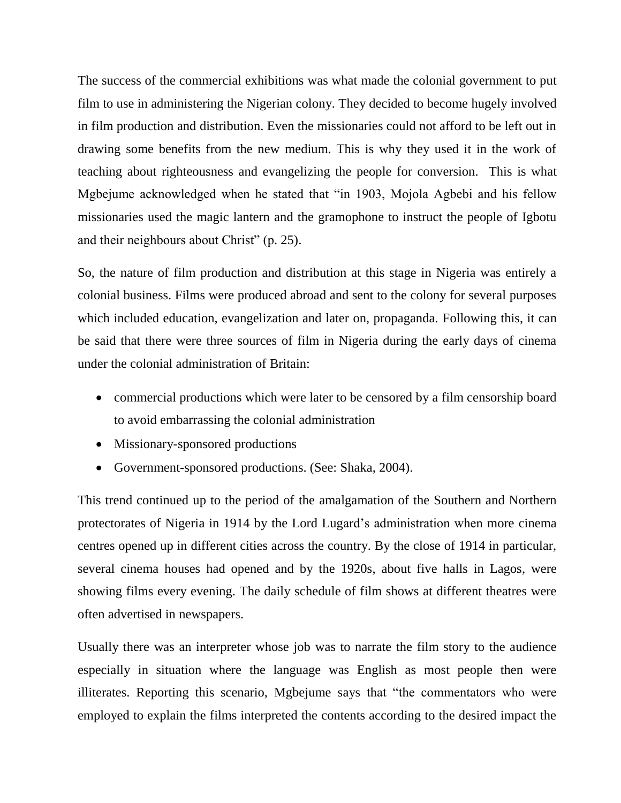The success of the commercial exhibitions was what made the colonial government to put film to use in administering the Nigerian colony. They decided to become hugely involved in film production and distribution. Even the missionaries could not afford to be left out in drawing some benefits from the new medium. This is why they used it in the work of teaching about righteousness and evangelizing the people for conversion. This is what Mgbejume acknowledged when he stated that "in 1903, Mojola Agbebi and his fellow missionaries used the magic lantern and the gramophone to instruct the people of Igbotu and their neighbours about Christ" (p. 25).

So, the nature of film production and distribution at this stage in Nigeria was entirely a colonial business. Films were produced abroad and sent to the colony for several purposes which included education, evangelization and later on, propaganda. Following this, it can be said that there were three sources of film in Nigeria during the early days of cinema under the colonial administration of Britain:

- commercial productions which were later to be censored by a film censorship board to avoid embarrassing the colonial administration
- Missionary-sponsored productions
- Government-sponsored productions. (See: Shaka, 2004).

This trend continued up to the period of the amalgamation of the Southern and Northern protectorates of Nigeria in 1914 by the Lord Lugard"s administration when more cinema centres opened up in different cities across the country. By the close of 1914 in particular, several cinema houses had opened and by the 1920s, about five halls in Lagos, were showing films every evening. The daily schedule of film shows at different theatres were often advertised in newspapers.

Usually there was an interpreter whose job was to narrate the film story to the audience especially in situation where the language was English as most people then were illiterates. Reporting this scenario, Mgbejume says that "the commentators who were employed to explain the films interpreted the contents according to the desired impact the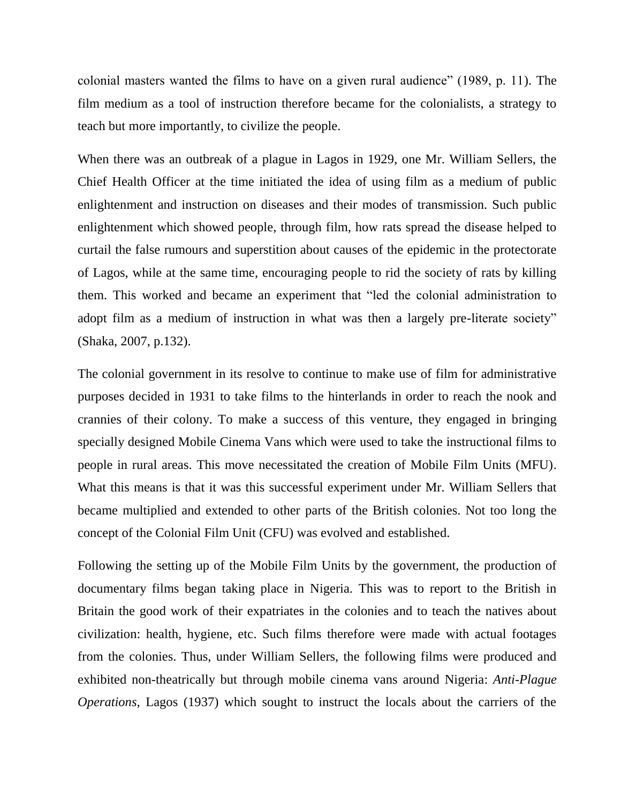colonial masters wanted the films to have on a given rural audience" (1989, p. 11). The film medium as a tool of instruction therefore became for the colonialists, a strategy to teach but more importantly, to civilize the people.

When there was an outbreak of a plague in Lagos in 1929, one Mr. William Sellers, the Chief Health Officer at the time initiated the idea of using film as a medium of public enlightenment and instruction on diseases and their modes of transmission. Such public enlightenment which showed people, through film, how rats spread the disease helped to curtail the false rumours and superstition about causes of the epidemic in the protectorate of Lagos, while at the same time, encouraging people to rid the society of rats by killing them. This worked and became an experiment that "led the colonial administration to adopt film as a medium of instruction in what was then a largely pre-literate society" (Shaka, 2007, p.132).

The colonial government in its resolve to continue to make use of film for administrative purposes decided in 1931 to take films to the hinterlands in order to reach the nook and crannies of their colony. To make a success of this venture, they engaged in bringing specially designed Mobile Cinema Vans which were used to take the instructional films to people in rural areas. This move necessitated the creation of Mobile Film Units (MFU). What this means is that it was this successful experiment under Mr. William Sellers that became multiplied and extended to other parts of the British colonies. Not too long the concept of the Colonial Film Unit (CFU) was evolved and established.

Following the setting up of the Mobile Film Units by the government, the production of documentary films began taking place in Nigeria. This was to report to the British in Britain the good work of their expatriates in the colonies and to teach the natives about civilization: health, hygiene, etc. Such films therefore were made with actual footages from the colonies. Thus, under William Sellers, the following films were produced and exhibited non-theatrically but through mobile cinema vans around Nigeria: *Anti-Plague Operations,* Lagos (1937) which sought to instruct the locals about the carriers of the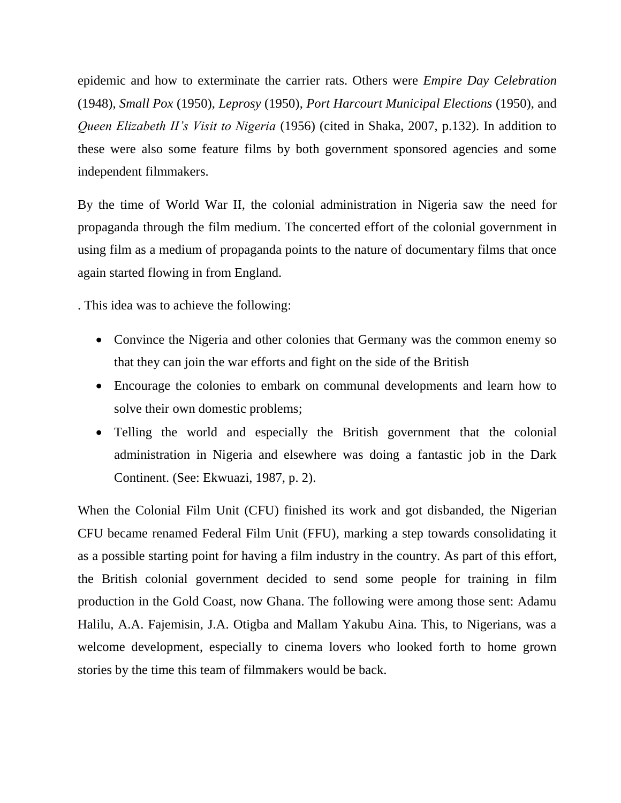epidemic and how to exterminate the carrier rats. Others were *Empire Day Celebration*  (1948), *Small Pox* (1950), *Leprosy* (1950), *Port Harcourt Municipal Elections* (1950), and *Queen Elizabeth II's Visit to Nigeria* (1956) (cited in Shaka, 2007, p.132). In addition to these were also some feature films by both government sponsored agencies and some independent filmmakers.

By the time of World War II, the colonial administration in Nigeria saw the need for propaganda through the film medium. The concerted effort of the colonial government in using film as a medium of propaganda points to the nature of documentary films that once again started flowing in from England.

. This idea was to achieve the following:

- Convince the Nigeria and other colonies that Germany was the common enemy so that they can join the war efforts and fight on the side of the British
- Encourage the colonies to embark on communal developments and learn how to solve their own domestic problems;
- Telling the world and especially the British government that the colonial administration in Nigeria and elsewhere was doing a fantastic job in the Dark Continent. (See: Ekwuazi, 1987, p. 2).

When the Colonial Film Unit (CFU) finished its work and got disbanded, the Nigerian CFU became renamed Federal Film Unit (FFU), marking a step towards consolidating it as a possible starting point for having a film industry in the country. As part of this effort, the British colonial government decided to send some people for training in film production in the Gold Coast, now Ghana. The following were among those sent: Adamu Halilu, A.A. Fajemisin, J.A. Otigba and Mallam Yakubu Aina. This, to Nigerians, was a welcome development, especially to cinema lovers who looked forth to home grown stories by the time this team of filmmakers would be back.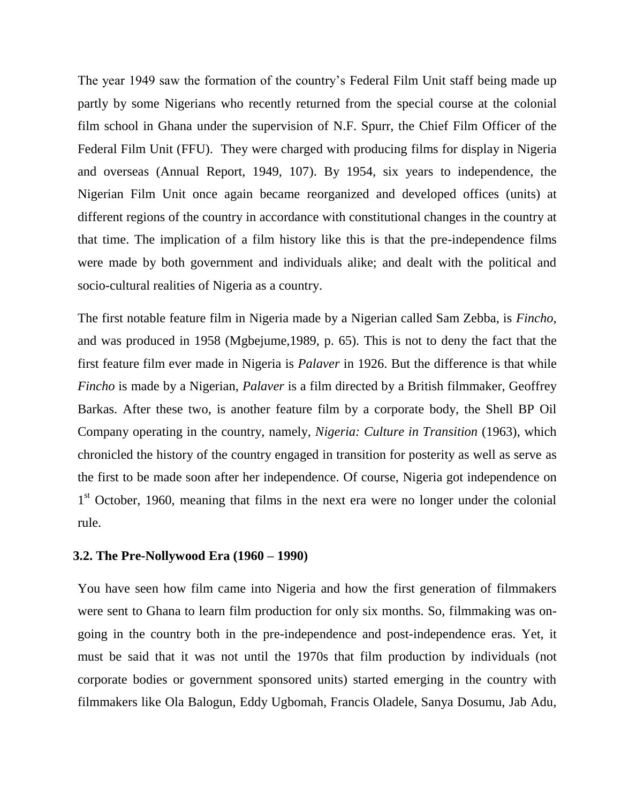The year 1949 saw the formation of the country's Federal Film Unit staff being made up partly by some Nigerians who recently returned from the special course at the colonial film school in Ghana under the supervision of N.F. Spurr, the Chief Film Officer of the Federal Film Unit (FFU). They were charged with producing films for display in Nigeria and overseas (Annual Report, 1949, 107). By 1954, six years to independence, the Nigerian Film Unit once again became reorganized and developed offices (units) at different regions of the country in accordance with constitutional changes in the country at that time. The implication of a film history like this is that the pre-independence films were made by both government and individuals alike; and dealt with the political and socio-cultural realities of Nigeria as a country.

The first notable feature film in Nigeria made by a Nigerian called Sam Zebba, is *Fincho*, and was produced in 1958 (Mgbejume,1989, p. 65). This is not to deny the fact that the first feature film ever made in Nigeria is *Palaver* in 1926. But the difference is that while *Fincho* is made by a Nigerian, *Palaver* is a film directed by a British filmmaker, Geoffrey Barkas. After these two, is another feature film by a corporate body, the Shell BP Oil Company operating in the country, namely, *Nigeria: Culture in Transition* (1963), which chronicled the history of the country engaged in transition for posterity as well as serve as the first to be made soon after her independence. Of course, Nigeria got independence on 1<sup>st</sup> October, 1960, meaning that films in the next era were no longer under the colonial rule.

#### **3.2. The Pre-Nollywood Era (1960 – 1990)**

You have seen how film came into Nigeria and how the first generation of filmmakers were sent to Ghana to learn film production for only six months. So, filmmaking was ongoing in the country both in the pre-independence and post-independence eras. Yet, it must be said that it was not until the 1970s that film production by individuals (not corporate bodies or government sponsored units) started emerging in the country with filmmakers like Ola Balogun, Eddy Ugbomah, Francis Oladele, Sanya Dosumu, Jab Adu,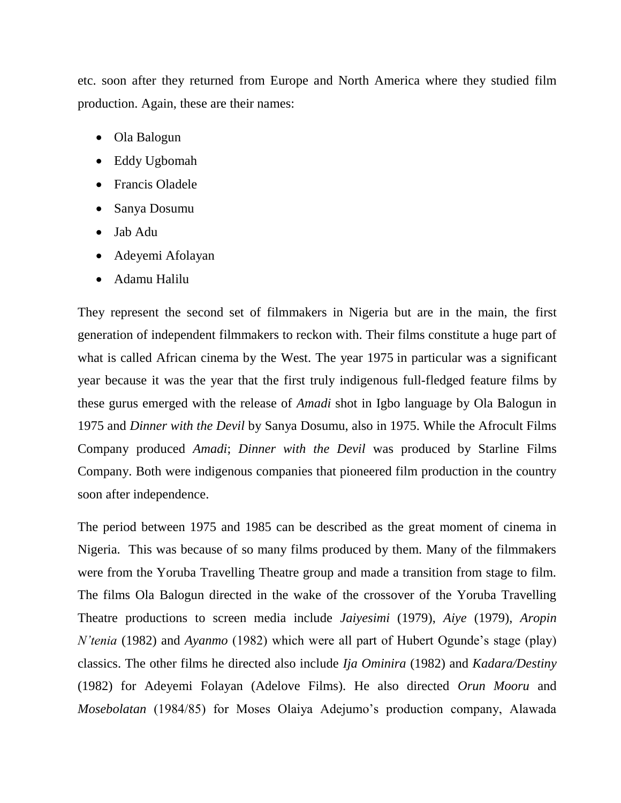etc. soon after they returned from Europe and North America where they studied film production. Again, these are their names:

- Ola Balogun
- Eddy Ugbomah
- Francis Oladele
- Sanya Dosumu
- Jab Adu
- Adeyemi Afolayan
- Adamu Halilu

They represent the second set of filmmakers in Nigeria but are in the main, the first generation of independent filmmakers to reckon with. Their films constitute a huge part of what is called African cinema by the West. The year 1975 in particular was a significant year because it was the year that the first truly indigenous full-fledged feature films by these gurus emerged with the release of *Amadi* shot in Igbo language by Ola Balogun in 1975 and *Dinner with the Devil* by Sanya Dosumu, also in 1975. While the Afrocult Films Company produced *Amadi*; *Dinner with the Devil* was produced by Starline Films Company. Both were indigenous companies that pioneered film production in the country soon after independence.

The period between 1975 and 1985 can be described as the great moment of cinema in Nigeria. This was because of so many films produced by them. Many of the filmmakers were from the Yoruba Travelling Theatre group and made a transition from stage to film. The films Ola Balogun directed in the wake of the crossover of the Yoruba Travelling Theatre productions to screen media include *Jaiyesimi* (1979), *Aiye* (1979), *Aropin N'tenia* (1982) and *Ayanmo* (1982) which were all part of Hubert Ogunde's stage (play) classics. The other films he directed also include *Ija Ominira* (1982) and *Kadara/Destiny* (1982) for Adeyemi Folayan (Adelove Films). He also directed *Orun Mooru* and *Mosebolatan* (1984/85) for Moses Olaiya Adejumo's production company, Alawada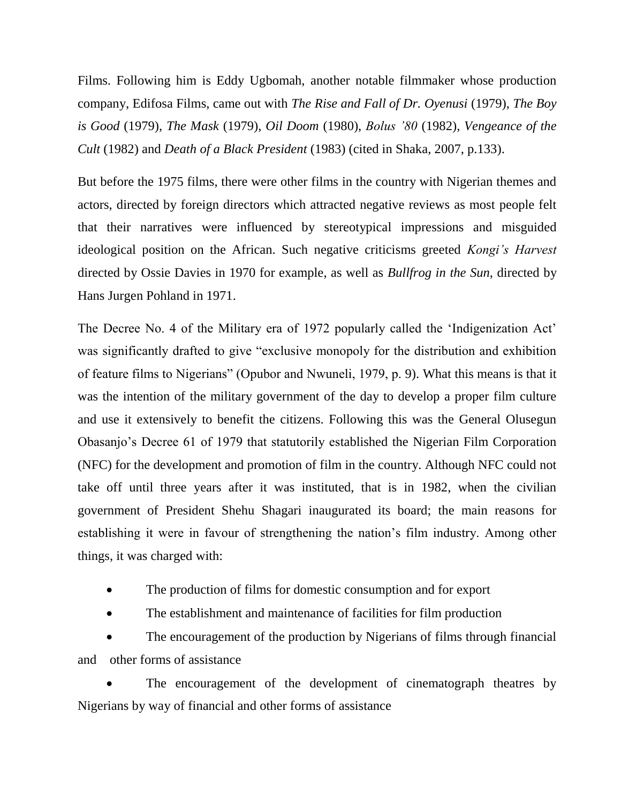Films. Following him is Eddy Ugbomah, another notable filmmaker whose production company, Edifosa Films, came out with *The Rise and Fall of Dr. Oyenusi* (1979), *The Boy is Good* (1979), *The Mask* (1979), *Oil Doom* (1980), *Bolus '80* (1982), *Vengeance of the Cult* (1982) and *Death of a Black President* (1983) (cited in Shaka, 2007, p.133).

But before the 1975 films, there were other films in the country with Nigerian themes and actors, directed by foreign directors which attracted negative reviews as most people felt that their narratives were influenced by stereotypical impressions and misguided ideological position on the African. Such negative criticisms greeted *Kongi's Harvest* directed by Ossie Davies in 1970 for example, as well as *Bullfrog in the Sun*, directed by Hans Jurgen Pohland in 1971.

The Decree No. 4 of the Military era of 1972 popularly called the "Indigenization Act" was significantly drafted to give "exclusive monopoly for the distribution and exhibition of feature films to Nigerians" (Opubor and Nwuneli, 1979, p. 9). What this means is that it was the intention of the military government of the day to develop a proper film culture and use it extensively to benefit the citizens. Following this was the General Olusegun Obasanjo"s Decree 61 of 1979 that statutorily established the Nigerian Film Corporation (NFC) for the development and promotion of film in the country. Although NFC could not take off until three years after it was instituted, that is in 1982, when the civilian government of President Shehu Shagari inaugurated its board; the main reasons for establishing it were in favour of strengthening the nation"s film industry. Among other things, it was charged with:

- The production of films for domestic consumption and for export
- The establishment and maintenance of facilities for film production

 The encouragement of the production by Nigerians of films through financial and other forms of assistance

 The encouragement of the development of cinematograph theatres by Nigerians by way of financial and other forms of assistance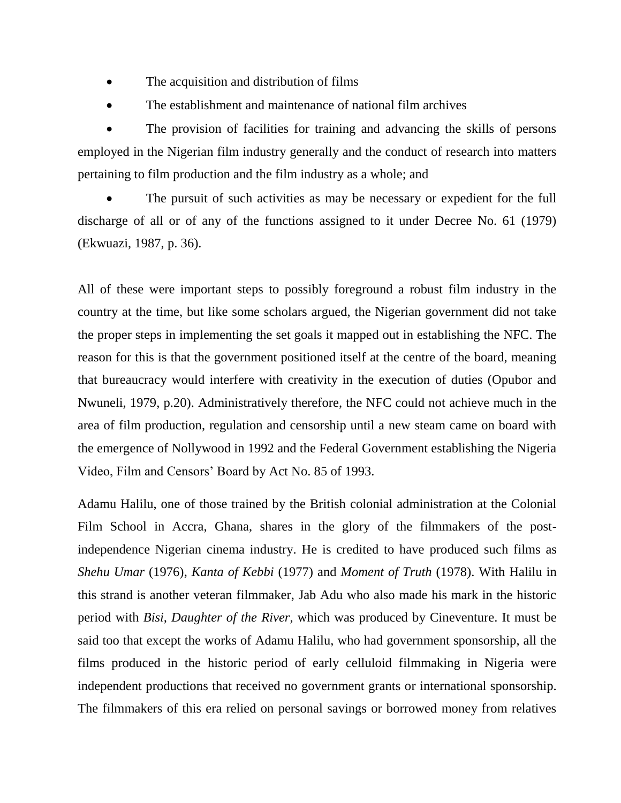- The acquisition and distribution of films
- The establishment and maintenance of national film archives

 The provision of facilities for training and advancing the skills of persons employed in the Nigerian film industry generally and the conduct of research into matters pertaining to film production and the film industry as a whole; and

 The pursuit of such activities as may be necessary or expedient for the full discharge of all or of any of the functions assigned to it under Decree No. 61 (1979) (Ekwuazi, 1987, p. 36).

All of these were important steps to possibly foreground a robust film industry in the country at the time, but like some scholars argued, the Nigerian government did not take the proper steps in implementing the set goals it mapped out in establishing the NFC. The reason for this is that the government positioned itself at the centre of the board, meaning that bureaucracy would interfere with creativity in the execution of duties (Opubor and Nwuneli, 1979, p.20). Administratively therefore, the NFC could not achieve much in the area of film production, regulation and censorship until a new steam came on board with the emergence of Nollywood in 1992 and the Federal Government establishing the Nigeria Video, Film and Censors" Board by Act No. 85 of 1993.

Adamu Halilu, one of those trained by the British colonial administration at the Colonial Film School in Accra, Ghana, shares in the glory of the filmmakers of the postindependence Nigerian cinema industry. He is credited to have produced such films as *Shehu Umar* (1976), *Kanta of Kebbi* (1977) and *Moment of Truth* (1978). With Halilu in this strand is another veteran filmmaker, Jab Adu who also made his mark in the historic period with *Bisi, Daughter of the River*, which was produced by Cineventure. It must be said too that except the works of Adamu Halilu, who had government sponsorship, all the films produced in the historic period of early celluloid filmmaking in Nigeria were independent productions that received no government grants or international sponsorship. The filmmakers of this era relied on personal savings or borrowed money from relatives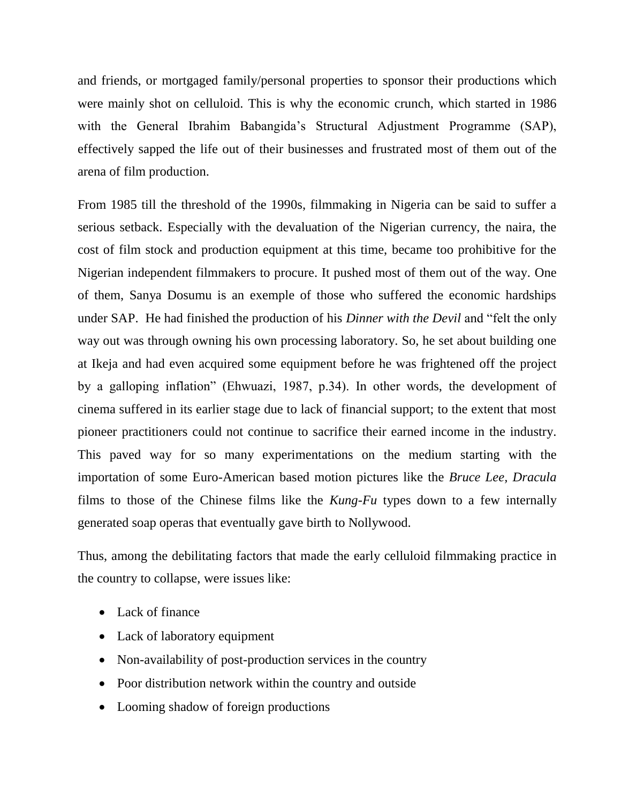and friends, or mortgaged family/personal properties to sponsor their productions which were mainly shot on celluloid. This is why the economic crunch, which started in 1986 with the General Ibrahim Babangida's Structural Adjustment Programme (SAP), effectively sapped the life out of their businesses and frustrated most of them out of the arena of film production.

From 1985 till the threshold of the 1990s, filmmaking in Nigeria can be said to suffer a serious setback. Especially with the devaluation of the Nigerian currency, the naira, the cost of film stock and production equipment at this time, became too prohibitive for the Nigerian independent filmmakers to procure. It pushed most of them out of the way. One of them, Sanya Dosumu is an exemple of those who suffered the economic hardships under SAP. He had finished the production of his *Dinner with the Devil* and "felt the only way out was through owning his own processing laboratory. So, he set about building one at Ikeja and had even acquired some equipment before he was frightened off the project by a galloping inflation" (Ehwuazi, 1987, p.34). In other words, the development of cinema suffered in its earlier stage due to lack of financial support; to the extent that most pioneer practitioners could not continue to sacrifice their earned income in the industry. This paved way for so many experimentations on the medium starting with the importation of some Euro-American based motion pictures like the *Bruce Lee, Dracula* films to those of the Chinese films like the *Kung-Fu* types down to a few internally generated soap operas that eventually gave birth to Nollywood.

Thus, among the debilitating factors that made the early celluloid filmmaking practice in the country to collapse, were issues like:

- Lack of finance
- Lack of laboratory equipment
- Non-availability of post-production services in the country
- Poor distribution network within the country and outside
- Looming shadow of foreign productions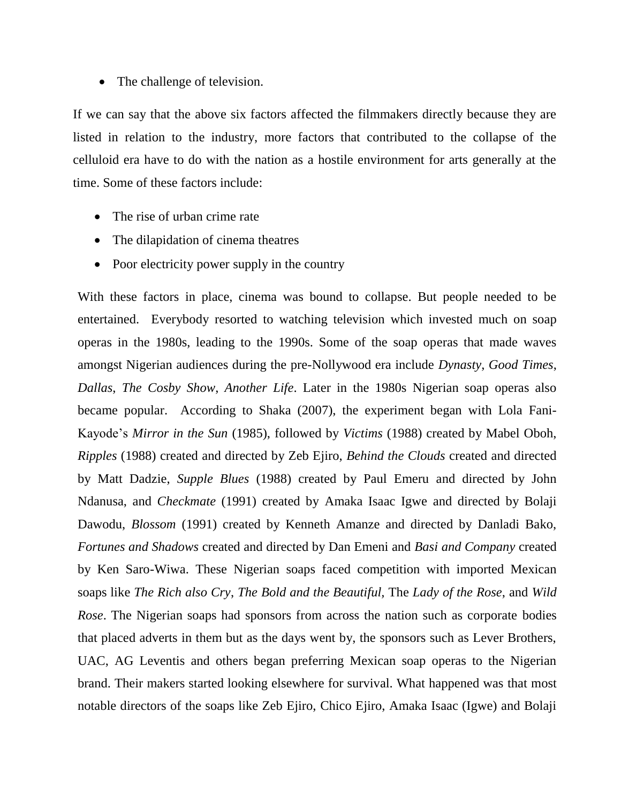• The challenge of television.

If we can say that the above six factors affected the filmmakers directly because they are listed in relation to the industry, more factors that contributed to the collapse of the celluloid era have to do with the nation as a hostile environment for arts generally at the time. Some of these factors include:

- The rise of urban crime rate
- The dilapidation of cinema theatres
- Poor electricity power supply in the country

With these factors in place, cinema was bound to collapse. But people needed to be entertained. Everybody resorted to watching television which invested much on soap operas in the 1980s, leading to the 1990s. Some of the soap operas that made waves amongst Nigerian audiences during the pre-Nollywood era include *Dynasty*, *Good Times*, *Dallas*, *The Cosby Show*, *Another Life*. Later in the 1980s Nigerian soap operas also became popular. According to Shaka (2007), the experiment began with Lola Fani-Kayode"s *Mirror in the Sun* (1985), followed by *Victims* (1988) created by Mabel Oboh, *Ripples* (1988) created and directed by Zeb Ejiro, *Behind the Clouds* created and directed by Matt Dadzie, *Supple Blues* (1988) created by Paul Emeru and directed by John Ndanusa, and *Checkmate* (1991) created by Amaka Isaac Igwe and directed by Bolaji Dawodu, *Blossom* (1991) created by Kenneth Amanze and directed by Danladi Bako, *Fortunes and Shadows* created and directed by Dan Emeni and *Basi and Company* created by Ken Saro-Wiwa. These Nigerian soaps faced competition with imported Mexican soaps like *The Rich also Cry*, *The Bold and the Beautiful,* The *Lady of the Rose*, and *Wild Rose*. The Nigerian soaps had sponsors from across the nation such as corporate bodies that placed adverts in them but as the days went by, the sponsors such as Lever Brothers, UAC, AG Leventis and others began preferring Mexican soap operas to the Nigerian brand. Their makers started looking elsewhere for survival. What happened was that most notable directors of the soaps like Zeb Ejiro, Chico Ejiro, Amaka Isaac (Igwe) and Bolaji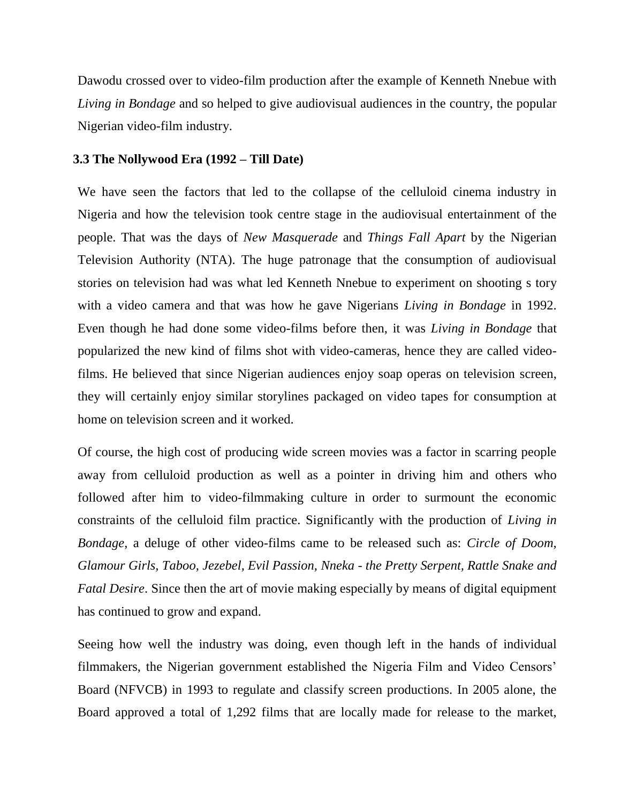Dawodu crossed over to video-film production after the example of Kenneth Nnebue with *Living in Bondage* and so helped to give audiovisual audiences in the country, the popular Nigerian video-film industry.

#### **3.3 The Nollywood Era (1992 – Till Date)**

We have seen the factors that led to the collapse of the celluloid cinema industry in Nigeria and how the television took centre stage in the audiovisual entertainment of the people. That was the days of *New Masquerade* and *Things Fall Apart* by the Nigerian Television Authority (NTA). The huge patronage that the consumption of audiovisual stories on television had was what led Kenneth Nnebue to experiment on shooting s tory with a video camera and that was how he gave Nigerians *Living in Bondage* in 1992. Even though he had done some video-films before then, it was *Living in Bondage* that popularized the new kind of films shot with video-cameras, hence they are called videofilms. He believed that since Nigerian audiences enjoy soap operas on television screen, they will certainly enjoy similar storylines packaged on video tapes for consumption at home on television screen and it worked.

Of course, the high cost of producing wide screen movies was a factor in scarring people away from celluloid production as well as a pointer in driving him and others who followed after him to video-filmmaking culture in order to surmount the economic constraints of the celluloid film practice. Significantly with the production of *Living in Bondage*, a deluge of other video-films came to be released such as: *Circle of Doom, Glamour Girls, Taboo, Jezebel, Evil Passion, Nneka - the Pretty Serpent, Rattle Snake and Fatal Desire*. Since then the art of movie making especially by means of digital equipment has continued to grow and expand.

Seeing how well the industry was doing, even though left in the hands of individual filmmakers, the Nigerian government established the Nigeria Film and Video Censors" Board (NFVCB) in 1993 to regulate and classify screen productions. In 2005 alone, the Board approved a total of 1,292 films that are locally made for release to the market,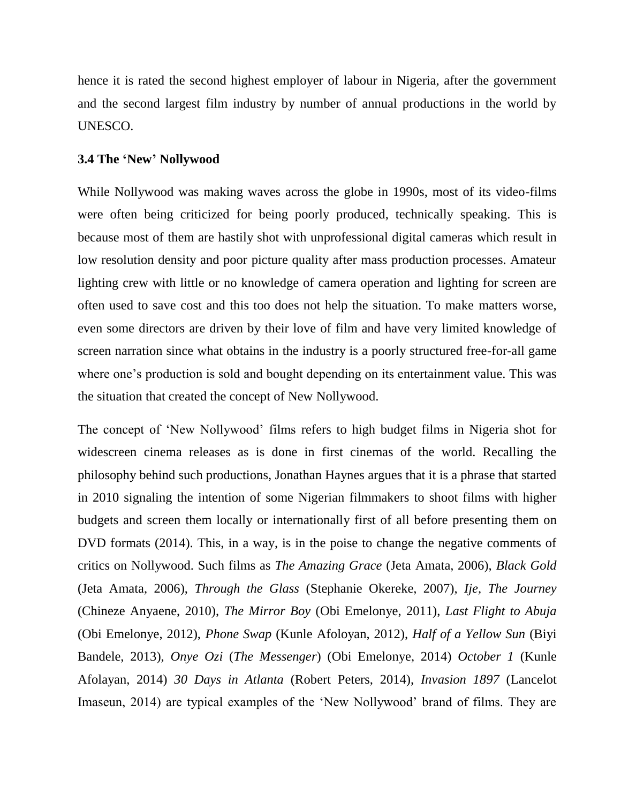hence it is rated the second highest employer of labour in Nigeria, after the government and the second largest film industry by number of annual productions in the world by UNESCO.

#### **3.4 The 'New' Nollywood**

While Nollywood was making waves across the globe in 1990s, most of its video-films were often being criticized for being poorly produced, technically speaking. This is because most of them are hastily shot with unprofessional digital cameras which result in low resolution density and poor picture quality after mass production processes. Amateur lighting crew with little or no knowledge of camera operation and lighting for screen are often used to save cost and this too does not help the situation. To make matters worse, even some directors are driven by their love of film and have very limited knowledge of screen narration since what obtains in the industry is a poorly structured free-for-all game where one's production is sold and bought depending on its entertainment value. This was the situation that created the concept of New Nollywood.

The concept of "New Nollywood" films refers to high budget films in Nigeria shot for widescreen cinema releases as is done in first cinemas of the world. Recalling the philosophy behind such productions, Jonathan Haynes argues that it is a phrase that started in 2010 signaling the intention of some Nigerian filmmakers to shoot films with higher budgets and screen them locally or internationally first of all before presenting them on DVD formats (2014). This, in a way, is in the poise to change the negative comments of critics on Nollywood. Such films as *The Amazing Grace* (Jeta Amata, 2006), *Black Gold* (Jeta Amata, 2006), *Through the Glass* (Stephanie Okereke, 2007), *Ije, The Journey* (Chineze Anyaene, 2010), *The Mirror Boy* (Obi Emelonye, 2011), *Last Flight to Abuja* (Obi Emelonye, 2012), *Phone Swap* (Kunle Afoloyan, 2012), *Half of a Yellow Sun* (Biyi Bandele, 2013), *Onye Ozi* (*The Messenger*) (Obi Emelonye, 2014) *October 1* (Kunle Afolayan, 2014) *30 Days in Atlanta* (Robert Peters, 2014), *Invasion 1897* (Lancelot Imaseun, 2014) are typical examples of the "New Nollywood" brand of films. They are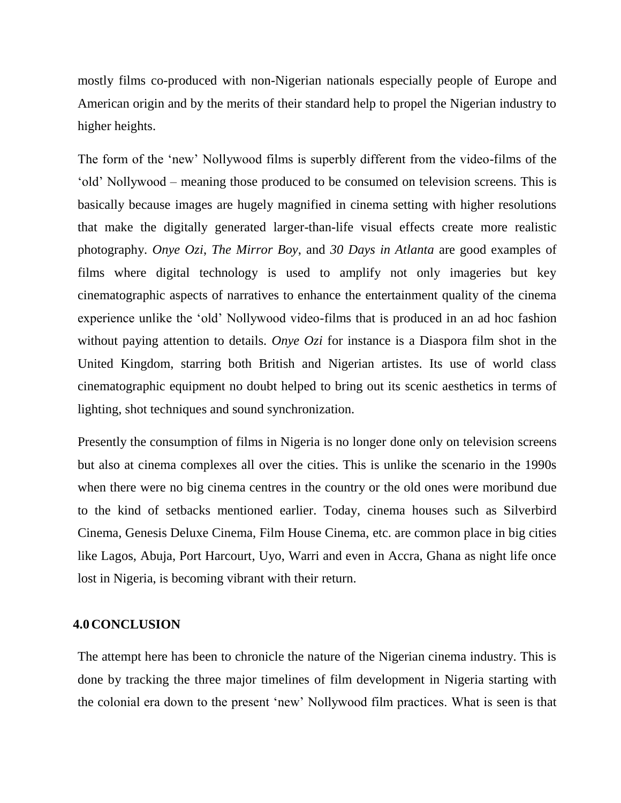mostly films co-produced with non-Nigerian nationals especially people of Europe and American origin and by the merits of their standard help to propel the Nigerian industry to higher heights.

The form of the "new" Nollywood films is superbly different from the video-films of the "old" Nollywood – meaning those produced to be consumed on television screens. This is basically because images are hugely magnified in cinema setting with higher resolutions that make the digitally generated larger-than-life visual effects create more realistic photography. *Onye Ozi*, *The Mirror Boy*, and *30 Days in Atlanta* are good examples of films where digital technology is used to amplify not only imageries but key cinematographic aspects of narratives to enhance the entertainment quality of the cinema experience unlike the "old" Nollywood video-films that is produced in an ad hoc fashion without paying attention to details. *Onye Ozi* for instance is a Diaspora film shot in the United Kingdom, starring both British and Nigerian artistes. Its use of world class cinematographic equipment no doubt helped to bring out its scenic aesthetics in terms of lighting, shot techniques and sound synchronization.

Presently the consumption of films in Nigeria is no longer done only on television screens but also at cinema complexes all over the cities. This is unlike the scenario in the 1990s when there were no big cinema centres in the country or the old ones were moribund due to the kind of setbacks mentioned earlier. Today, cinema houses such as Silverbird Cinema, Genesis Deluxe Cinema, Film House Cinema, etc. are common place in big cities like Lagos, Abuja, Port Harcourt, Uyo, Warri and even in Accra, Ghana as night life once lost in Nigeria, is becoming vibrant with their return.

#### **4.0CONCLUSION**

The attempt here has been to chronicle the nature of the Nigerian cinema industry. This is done by tracking the three major timelines of film development in Nigeria starting with the colonial era down to the present "new" Nollywood film practices. What is seen is that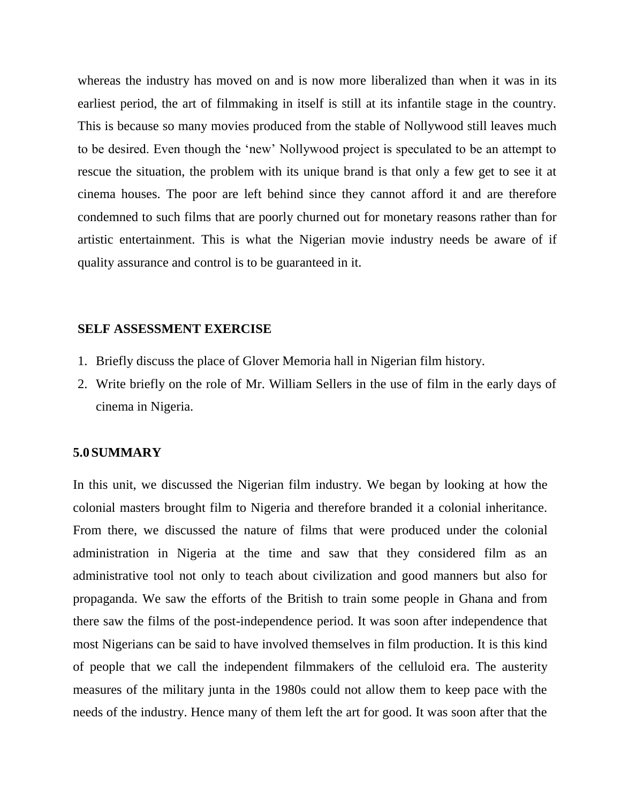whereas the industry has moved on and is now more liberalized than when it was in its earliest period, the art of filmmaking in itself is still at its infantile stage in the country. This is because so many movies produced from the stable of Nollywood still leaves much to be desired. Even though the "new" Nollywood project is speculated to be an attempt to rescue the situation, the problem with its unique brand is that only a few get to see it at cinema houses. The poor are left behind since they cannot afford it and are therefore condemned to such films that are poorly churned out for monetary reasons rather than for artistic entertainment. This is what the Nigerian movie industry needs be aware of if quality assurance and control is to be guaranteed in it.

#### **SELF ASSESSMENT EXERCISE**

- 1. Briefly discuss the place of Glover Memoria hall in Nigerian film history.
- 2. Write briefly on the role of Mr. William Sellers in the use of film in the early days of cinema in Nigeria.

#### **5.0SUMMARY**

In this unit, we discussed the Nigerian film industry. We began by looking at how the colonial masters brought film to Nigeria and therefore branded it a colonial inheritance. From there, we discussed the nature of films that were produced under the colonial administration in Nigeria at the time and saw that they considered film as an administrative tool not only to teach about civilization and good manners but also for propaganda. We saw the efforts of the British to train some people in Ghana and from there saw the films of the post-independence period. It was soon after independence that most Nigerians can be said to have involved themselves in film production. It is this kind of people that we call the independent filmmakers of the celluloid era. The austerity measures of the military junta in the 1980s could not allow them to keep pace with the needs of the industry. Hence many of them left the art for good. It was soon after that the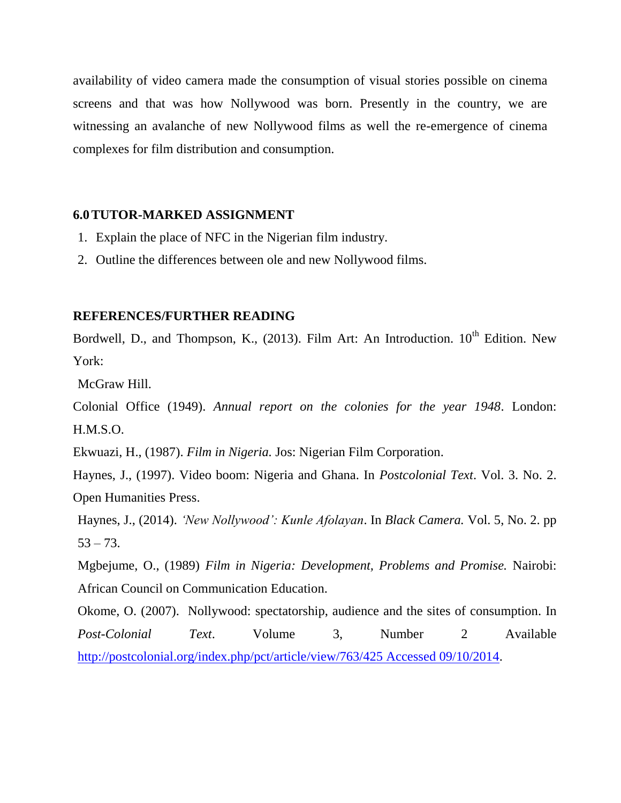availability of video camera made the consumption of visual stories possible on cinema screens and that was how Nollywood was born. Presently in the country, we are witnessing an avalanche of new Nollywood films as well the re-emergence of cinema complexes for film distribution and consumption.

#### **6.0TUTOR-MARKED ASSIGNMENT**

- 1. Explain the place of NFC in the Nigerian film industry.
- 2. Outline the differences between ole and new Nollywood films.

#### **REFERENCES/FURTHER READING**

Bordwell, D., and Thompson, K., (2013). Film Art: An Introduction. 10<sup>th</sup> Edition. New York:

McGraw Hill.

Colonial Office (1949). *Annual report on the colonies for the year 1948*. London: H.M.S.O.

Ekwuazi, H., (1987). *Film in Nigeria.* Jos: Nigerian Film Corporation.

Haynes, J., (1997). Video boom: Nigeria and Ghana. In *Postcolonial Text*. Vol. 3. No. 2. Open Humanities Press.

Haynes, J., (2014). *'New Nollywood': Kunle Afolayan*. In *Black Camera.* Vol. 5, No. 2. pp  $53 - 73.$ 

Mgbejume, O., (1989) *Film in Nigeria: Development, Problems and Promise.* Nairobi: African Council on Communication Education.

Okome, O. (2007). Nollywood: spectatorship, audience and the sites of consumption. In *Post-Colonial Text*. Volume 3, Number 2 Available [http://postcolonial.org/index.php/pct/article/view/763/425 Accessed 09/10/2014.](http://postcolonial.org/index.php/pct/article/view/763/425%20Accessed%2009/10/2014)